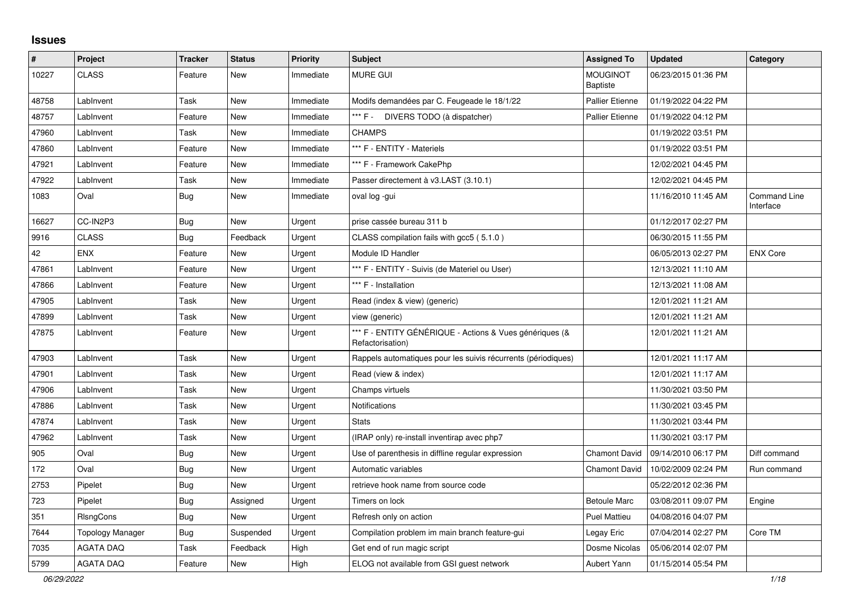## **Issues**

| $\pmb{\#}$ | Project          | <b>Tracker</b> | <b>Status</b> | <b>Priority</b> | <b>Subject</b>                                                              | <b>Assigned To</b>                 | <b>Updated</b>      | Category                         |
|------------|------------------|----------------|---------------|-----------------|-----------------------------------------------------------------------------|------------------------------------|---------------------|----------------------------------|
| 10227      | <b>CLASS</b>     | Feature        | New           | Immediate       | <b>MURE GUI</b>                                                             | <b>MOUGINOT</b><br><b>Baptiste</b> | 06/23/2015 01:36 PM |                                  |
| 48758      | LabInvent        | Task           | <b>New</b>    | Immediate       | Modifs demandées par C. Feugeade le 18/1/22                                 | <b>Pallier Etienne</b>             | 01/19/2022 04:22 PM |                                  |
| 48757      | LabInvent        | Feature        | <b>New</b>    | Immediate       | *** F - DIVERS TODO (à dispatcher)                                          | <b>Pallier Etienne</b>             | 01/19/2022 04:12 PM |                                  |
| 47960      | LabInvent        | Task           | New           | Immediate       | <b>CHAMPS</b>                                                               |                                    | 01/19/2022 03:51 PM |                                  |
| 47860      | LabInvent        | Feature        | New           | Immediate       | *** F - ENTITY - Materiels                                                  |                                    | 01/19/2022 03:51 PM |                                  |
| 47921      | LabInvent        | Feature        | New           | Immediate       | *** F - Framework CakePhp                                                   |                                    | 12/02/2021 04:45 PM |                                  |
| 47922      | LabInvent        | Task           | <b>New</b>    | Immediate       | Passer directement à v3.LAST (3.10.1)                                       |                                    | 12/02/2021 04:45 PM |                                  |
| 1083       | Oval             | Bug            | New           | Immediate       | oval log -gui                                                               |                                    | 11/16/2010 11:45 AM | <b>Command Line</b><br>Interface |
| 16627      | CC-IN2P3         | Bug            | <b>New</b>    | Urgent          | prise cassée bureau 311 b                                                   |                                    | 01/12/2017 02:27 PM |                                  |
| 9916       | <b>CLASS</b>     | <b>Bug</b>     | Feedback      | Urgent          | CLASS compilation fails with gcc5 (5.1.0)                                   |                                    | 06/30/2015 11:55 PM |                                  |
| 42         | ENX              | Feature        | New           | Urgent          | Module ID Handler                                                           |                                    | 06/05/2013 02:27 PM | <b>ENX Core</b>                  |
| 47861      | LabInvent        | Feature        | <b>New</b>    | Urgent          | *** F - ENTITY - Suivis (de Materiel ou User)                               |                                    | 12/13/2021 11:10 AM |                                  |
| 47866      | LabInvent        | Feature        | New           | Urgent          | *** F - Installation                                                        |                                    | 12/13/2021 11:08 AM |                                  |
| 47905      | LabInvent        | Task           | New           | Urgent          | Read (index & view) (generic)                                               |                                    | 12/01/2021 11:21 AM |                                  |
| 47899      | LabInvent        | Task           | New           | Urgent          | view (generic)                                                              |                                    | 12/01/2021 11:21 AM |                                  |
| 47875      | LabInvent        | Feature        | New           | Urgent          | *** F - ENTITY GÉNÉRIQUE - Actions & Vues génériques (&<br>Refactorisation) |                                    | 12/01/2021 11:21 AM |                                  |
| 47903      | LabInvent        | Task           | New           | Urgent          | Rappels automatiques pour les suivis récurrents (périodiques)               |                                    | 12/01/2021 11:17 AM |                                  |
| 47901      | LabInvent        | Task           | New           | Urgent          | Read (view & index)                                                         |                                    | 12/01/2021 11:17 AM |                                  |
| 47906      | LabInvent        | Task           | <b>New</b>    | Urgent          | Champs virtuels                                                             |                                    | 11/30/2021 03:50 PM |                                  |
| 47886      | LabInvent        | Task           | New           | Urgent          | <b>Notifications</b>                                                        |                                    | 11/30/2021 03:45 PM |                                  |
| 47874      | LabInvent        | Task           | New           | Urgent          | <b>Stats</b>                                                                |                                    | 11/30/2021 03:44 PM |                                  |
| 47962      | LabInvent        | Task           | New           | Urgent          | (IRAP only) re-install inventirap avec php7                                 |                                    | 11/30/2021 03:17 PM |                                  |
| 905        | Oval             | <b>Bug</b>     | <b>New</b>    | Urgent          | Use of parenthesis in diffline regular expression                           | Chamont David                      | 09/14/2010 06:17 PM | Diff command                     |
| 172        | Oval             | <b>Bug</b>     | New           | Urgent          | Automatic variables                                                         | Chamont David                      | 10/02/2009 02:24 PM | Run command                      |
| 2753       | Pipelet          | Bug            | <b>New</b>    | Urgent          | retrieve hook name from source code                                         |                                    | 05/22/2012 02:36 PM |                                  |
| 723        | Pipelet          | <b>Bug</b>     | Assigned      | Urgent          | Timers on lock                                                              | <b>Betoule Marc</b>                | 03/08/2011 09:07 PM | Engine                           |
| 351        | <b>RIsngCons</b> | Bug            | New           | Urgent          | Refresh only on action                                                      | <b>Puel Mattieu</b>                | 04/08/2016 04:07 PM |                                  |
| 7644       | Topology Manager | <b>Bug</b>     | Suspended     | Urgent          | Compilation problem im main branch feature-gui                              | Legay Eric                         | 07/04/2014 02:27 PM | Core TM                          |
| 7035       | <b>AGATA DAQ</b> | Task           | Feedback      | High            | Get end of run magic script                                                 | Dosme Nicolas                      | 05/06/2014 02:07 PM |                                  |
| 5799       | <b>AGATA DAQ</b> | Feature        | New           | High            | ELOG not available from GSI guest network                                   | Aubert Yann                        | 01/15/2014 05:54 PM |                                  |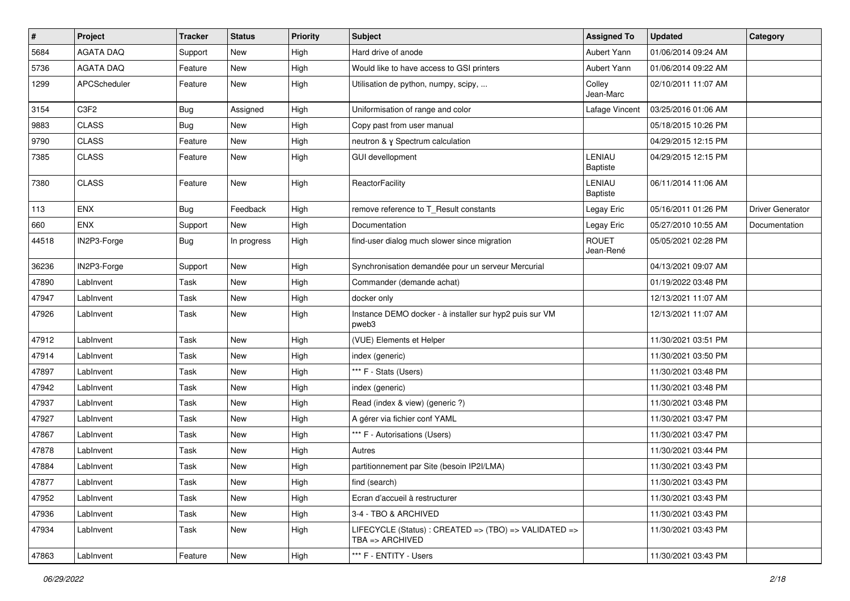| #     | Project          | <b>Tracker</b> | <b>Status</b> | <b>Priority</b> | <b>Subject</b>                                                           | <b>Assigned To</b>        | <b>Updated</b>      | Category         |
|-------|------------------|----------------|---------------|-----------------|--------------------------------------------------------------------------|---------------------------|---------------------|------------------|
| 5684  | <b>AGATA DAQ</b> | Support        | New           | High            | Hard drive of anode                                                      | Aubert Yann               | 01/06/2014 09:24 AM |                  |
| 5736  | <b>AGATA DAQ</b> | Feature        | <b>New</b>    | High            | Would like to have access to GSI printers                                | Aubert Yann               | 01/06/2014 09:22 AM |                  |
| 1299  | APCScheduler     | Feature        | New           | High            | Utilisation de python, numpy, scipy,                                     | Colley<br>Jean-Marc       | 02/10/2011 11:07 AM |                  |
| 3154  | C3F2             | <b>Bug</b>     | Assigned      | High            | Uniformisation of range and color                                        | Lafage Vincent            | 03/25/2016 01:06 AM |                  |
| 9883  | <b>CLASS</b>     | <b>Bug</b>     | New           | High            | Copy past from user manual                                               |                           | 05/18/2015 10:26 PM |                  |
| 9790  | <b>CLASS</b>     | Feature        | New           | High            | neutron & y Spectrum calculation                                         |                           | 04/29/2015 12:15 PM |                  |
| 7385  | <b>CLASS</b>     | Feature        | New           | High            | <b>GUI devellopment</b>                                                  | LENIAU<br>Baptiste        | 04/29/2015 12:15 PM |                  |
| 7380  | <b>CLASS</b>     | Feature        | <b>New</b>    | High            | ReactorFacility                                                          | LENIAU<br><b>Baptiste</b> | 06/11/2014 11:06 AM |                  |
| 113   | ENX              | <b>Bug</b>     | Feedback      | High            | remove reference to T_Result constants                                   | Legay Eric                | 05/16/2011 01:26 PM | Driver Generator |
| 660   | ENX              | Support        | New           | High            | Documentation                                                            | Legay Eric                | 05/27/2010 10:55 AM | Documentation    |
| 44518 | IN2P3-Forge      | <b>Bug</b>     | In progress   | High            | find-user dialog much slower since migration                             | <b>ROUET</b><br>Jean-René | 05/05/2021 02:28 PM |                  |
| 36236 | IN2P3-Forge      | Support        | New           | High            | Synchronisation demandée pour un serveur Mercurial                       |                           | 04/13/2021 09:07 AM |                  |
| 47890 | LabInvent        | Task           | New           | High            | Commander (demande achat)                                                |                           | 01/19/2022 03:48 PM |                  |
| 47947 | LabInvent        | Task           | New           | High            | docker only                                                              |                           | 12/13/2021 11:07 AM |                  |
| 47926 | LabInvent        | Task           | New           | High            | Instance DEMO docker - à installer sur hyp2 puis sur VM<br>pweb3         |                           | 12/13/2021 11:07 AM |                  |
| 47912 | LabInvent        | Task           | New           | High            | (VUE) Elements et Helper                                                 |                           | 11/30/2021 03:51 PM |                  |
| 47914 | LabInvent        | Task           | New           | High            | index (generic)                                                          |                           | 11/30/2021 03:50 PM |                  |
| 47897 | LabInvent        | Task           | <b>New</b>    | High            | *** F - Stats (Users)                                                    |                           | 11/30/2021 03:48 PM |                  |
| 47942 | LabInvent        | Task           | New           | High            | index (generic)                                                          |                           | 11/30/2021 03:48 PM |                  |
| 47937 | LabInvent        | Task           | New           | High            | Read (index & view) (generic ?)                                          |                           | 11/30/2021 03:48 PM |                  |
| 47927 | LabInvent        | Task           | <b>New</b>    | High            | A gérer via fichier conf YAML                                            |                           | 11/30/2021 03:47 PM |                  |
| 47867 | LabInvent        | Task           | New           | High            | *** F - Autorisations (Users)                                            |                           | 11/30/2021 03:47 PM |                  |
| 47878 | LabInvent        | Task           | New           | High            | Autres                                                                   |                           | 11/30/2021 03:44 PM |                  |
| 47884 | LabInvent        | Task           | New           | High            | partitionnement par Site (besoin IP2I/LMA)                               |                           | 11/30/2021 03:43 PM |                  |
| 47877 | LabInvent        | Task           | New           | High            | find (search)                                                            |                           | 11/30/2021 03:43 PM |                  |
| 47952 | LabInvent        | Task           | New           | High            | Ecran d'accueil à restructurer                                           |                           | 11/30/2021 03:43 PM |                  |
| 47936 | LabInvent        | Task           | New           | High            | 3-4 - TBO & ARCHIVED                                                     |                           | 11/30/2021 03:43 PM |                  |
| 47934 | LabInvent        | Task           | New           | High            | LIFECYCLE (Status) : CREATED => (TBO) => VALIDATED =><br>TBA => ARCHIVED |                           | 11/30/2021 03:43 PM |                  |
| 47863 | LabInvent        | Feature        | New           | High            | *** F - ENTITY - Users                                                   |                           | 11/30/2021 03:43 PM |                  |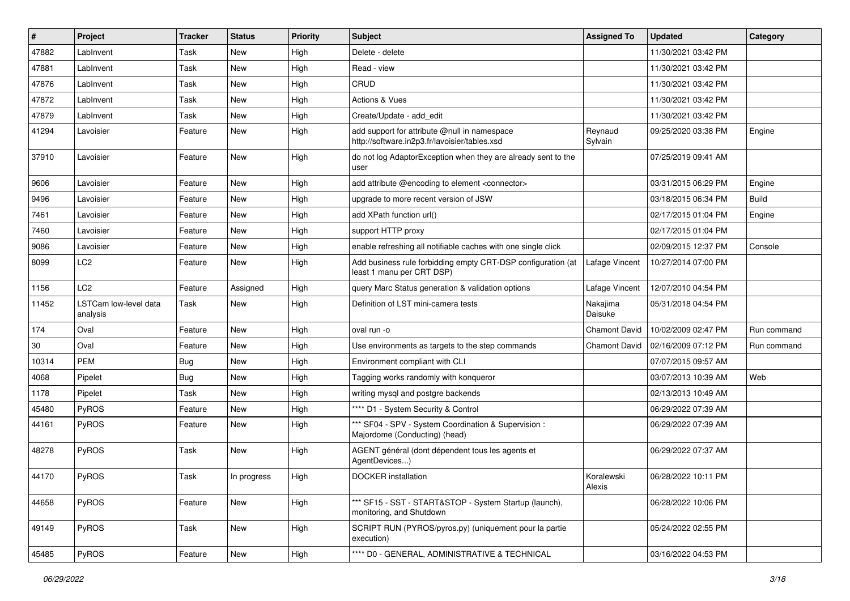| #     | Project                           | <b>Tracker</b> | <b>Status</b> | <b>Priority</b> | <b>Subject</b>                                                                                | <b>Assigned To</b>   | <b>Updated</b>      | Category     |
|-------|-----------------------------------|----------------|---------------|-----------------|-----------------------------------------------------------------------------------------------|----------------------|---------------------|--------------|
| 47882 | LabInvent                         | Task           | <b>New</b>    | High            | Delete - delete                                                                               |                      | 11/30/2021 03:42 PM |              |
| 47881 | LabInvent                         | Task           | <b>New</b>    | High            | Read - view                                                                                   |                      | 11/30/2021 03:42 PM |              |
| 47876 | LabInvent                         | Task           | <b>New</b>    | High            | CRUD                                                                                          |                      | 11/30/2021 03:42 PM |              |
| 47872 | LabInvent                         | Task           | <b>New</b>    | High            | Actions & Vues                                                                                |                      | 11/30/2021 03:42 PM |              |
| 47879 | Lablnvent                         | Task           | <b>New</b>    | High            | Create/Update - add edit                                                                      |                      | 11/30/2021 03:42 PM |              |
| 41294 | Lavoisier                         | Feature        | <b>New</b>    | High            | add support for attribute @null in namespace<br>http://software.in2p3.fr/lavoisier/tables.xsd | Reynaud<br>Sylvain   | 09/25/2020 03:38 PM | Engine       |
| 37910 | Lavoisier                         | Feature        | <b>New</b>    | High            | do not log AdaptorException when they are already sent to the<br>user                         |                      | 07/25/2019 09:41 AM |              |
| 9606  | Lavoisier                         | Feature        | <b>New</b>    | High            | add attribute @encoding to element <connector></connector>                                    |                      | 03/31/2015 06:29 PM | Engine       |
| 9496  | Lavoisier                         | Feature        | <b>New</b>    | High            | upgrade to more recent version of JSW                                                         |                      | 03/18/2015 06:34 PM | <b>Build</b> |
| 7461  | Lavoisier                         | Feature        | New           | High            | add XPath function url()                                                                      |                      | 02/17/2015 01:04 PM | Engine       |
| 7460  | Lavoisier                         | Feature        | <b>New</b>    | High            | support HTTP proxy                                                                            |                      | 02/17/2015 01:04 PM |              |
| 9086  | Lavoisier                         | Feature        | New           | High            | enable refreshing all notifiable caches with one single click                                 |                      | 02/09/2015 12:37 PM | Console      |
| 8099  | LC <sub>2</sub>                   | Feature        | <b>New</b>    | High            | Add business rule forbidding empty CRT-DSP configuration (at<br>least 1 manu per CRT DSP)     | Lafage Vincent       | 10/27/2014 07:00 PM |              |
| 1156  | LC <sub>2</sub>                   | Feature        | Assigned      | High            | query Marc Status generation & validation options                                             | Lafage Vincent       | 12/07/2010 04:54 PM |              |
| 11452 | LSTCam low-level data<br>analysis | Task           | <b>New</b>    | High            | Definition of LST mini-camera tests                                                           | Nakajima<br>Daisuke  | 05/31/2018 04:54 PM |              |
| 174   | Oval                              | Feature        | <b>New</b>    | High            | oval run -o                                                                                   | Chamont David        | 10/02/2009 02:47 PM | Run command  |
| 30    | Oval                              | Feature        | <b>New</b>    | High            | Use environments as targets to the step commands                                              | <b>Chamont David</b> | 02/16/2009 07:12 PM | Run command  |
| 10314 | PEM                               | <b>Bug</b>     | <b>New</b>    | High            | Environment compliant with CLI                                                                |                      | 07/07/2015 09:57 AM |              |
| 4068  | Pipelet                           | <b>Bug</b>     | <b>New</b>    | High            | Tagging works randomly with konqueror                                                         |                      | 03/07/2013 10:39 AM | Web          |
| 1178  | Pipelet                           | Task           | <b>New</b>    | High            | writing mysql and postgre backends                                                            |                      | 02/13/2013 10:49 AM |              |
| 45480 | PyROS                             | Feature        | <b>New</b>    | High            | **** D1 - System Security & Control                                                           |                      | 06/29/2022 07:39 AM |              |
| 44161 | PyROS                             | Feature        | <b>New</b>    | High            | *** SF04 - SPV - System Coordination & Supervision :<br>Majordome (Conducting) (head)         |                      | 06/29/2022 07:39 AM |              |
| 48278 | PyROS                             | Task           | <b>New</b>    | High            | AGENT général (dont dépendent tous les agents et<br>AgentDevices)                             |                      | 06/29/2022 07:37 AM |              |
| 44170 | PyROS                             | Task           | In progress   | High            | <b>DOCKER</b> installation                                                                    | Koralewski<br>Alexis | 06/28/2022 10:11 PM |              |
| 44658 | PyROS                             | Feature        | New           | High            | *** SF15 - SST - START&STOP - System Startup (launch),<br>monitoring, and Shutdown            |                      | 06/28/2022 10:06 PM |              |
| 49149 | PyROS                             | Task           | New           | High            | SCRIPT RUN (PYROS/pyros.py) (uniquement pour la partie<br>execution)                          |                      | 05/24/2022 02:55 PM |              |
| 45485 | PyROS                             | Feature        | New           | High            | **** D0 - GENERAL, ADMINISTRATIVE & TECHNICAL                                                 |                      | 03/16/2022 04:53 PM |              |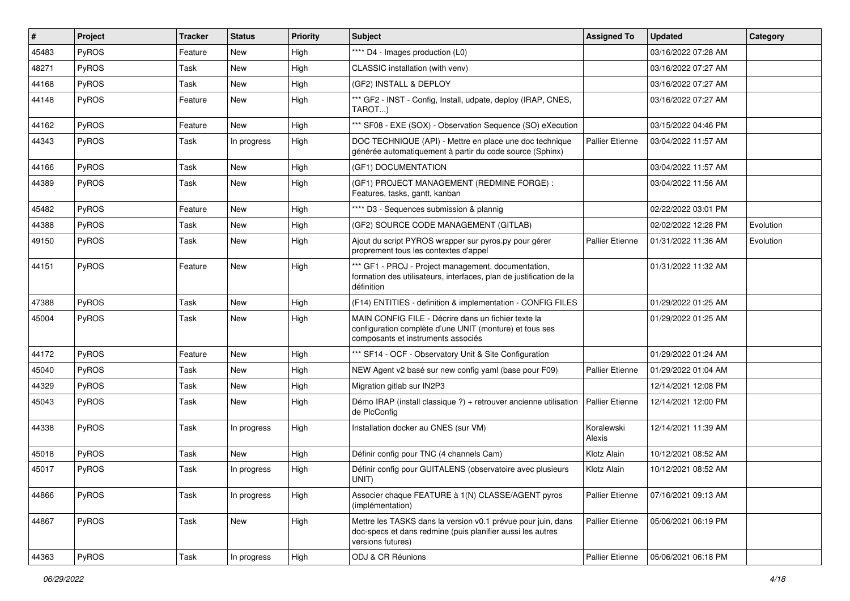| #     | Project      | <b>Tracker</b> | <b>Status</b> | <b>Priority</b> | <b>Subject</b>                                                                                                                                       | <b>Assigned To</b>     | <b>Updated</b>      | Category  |
|-------|--------------|----------------|---------------|-----------------|------------------------------------------------------------------------------------------------------------------------------------------------------|------------------------|---------------------|-----------|
| 45483 | <b>PyROS</b> | Feature        | New           | High            | **** D4 - Images production (L0)                                                                                                                     |                        | 03/16/2022 07:28 AM |           |
| 48271 | PyROS        | Task           | New           | High            | CLASSIC installation (with venv)                                                                                                                     |                        | 03/16/2022 07:27 AM |           |
| 44168 | <b>PyROS</b> | Task           | New           | High            | (GF2) INSTALL & DEPLOY                                                                                                                               |                        | 03/16/2022 07:27 AM |           |
| 44148 | <b>PyROS</b> | Feature        | New           | High            | *** GF2 - INST - Config, Install, udpate, deploy (IRAP, CNES,<br>TAROT)                                                                              |                        | 03/16/2022 07:27 AM |           |
| 44162 | <b>PyROS</b> | Feature        | New           | High            | *** SF08 - EXE (SOX) - Observation Sequence (SO) eXecution                                                                                           |                        | 03/15/2022 04:46 PM |           |
| 44343 | <b>PyROS</b> | Task           | In progress   | High            | DOC TECHNIQUE (API) - Mettre en place une doc technique<br>générée automatiquement à partir du code source (Sphinx)                                  | Pallier Etienne        | 03/04/2022 11:57 AM |           |
| 44166 | <b>PyROS</b> | Task           | <b>New</b>    | High            | (GF1) DOCUMENTATION                                                                                                                                  |                        | 03/04/2022 11:57 AM |           |
| 44389 | <b>PyROS</b> | Task           | New           | High            | (GF1) PROJECT MANAGEMENT (REDMINE FORGE):<br>Features, tasks, gantt, kanban                                                                          |                        | 03/04/2022 11:56 AM |           |
| 45482 | <b>PyROS</b> | Feature        | New           | High            | **** D3 - Sequences submission & plannig                                                                                                             |                        | 02/22/2022 03:01 PM |           |
| 44388 | <b>PyROS</b> | Task           | <b>New</b>    | High            | (GF2) SOURCE CODE MANAGEMENT (GITLAB)                                                                                                                |                        | 02/02/2022 12:28 PM | Evolution |
| 49150 | <b>PyROS</b> | Task           | New           | High            | Ajout du script PYROS wrapper sur pyros.py pour gérer<br>proprement tous les contextes d'appel                                                       | <b>Pallier Etienne</b> | 01/31/2022 11:36 AM | Evolution |
| 44151 | <b>PyROS</b> | Feature        | New           | High            | *** GF1 - PROJ - Project management, documentation,<br>formation des utilisateurs, interfaces, plan de justification de la<br>définition             |                        | 01/31/2022 11:32 AM |           |
| 47388 | <b>PyROS</b> | Task           | <b>New</b>    | High            | (F14) ENTITIES - definition & implementation - CONFIG FILES                                                                                          |                        | 01/29/2022 01:25 AM |           |
| 45004 | PyROS        | Task           | New           | High            | MAIN CONFIG FILE - Décrire dans un fichier texte la<br>configuration complète d'une UNIT (monture) et tous ses<br>composants et instruments associés |                        | 01/29/2022 01:25 AM |           |
| 44172 | PyROS        | Feature        | New           | High            | *** SF14 - OCF - Observatory Unit & Site Configuration                                                                                               |                        | 01/29/2022 01:24 AM |           |
| 45040 | <b>PyROS</b> | Task           | New           | High            | NEW Agent v2 basé sur new config yaml (base pour F09)                                                                                                | Pallier Etienne        | 01/29/2022 01:04 AM |           |
| 44329 | <b>PyROS</b> | Task           | New           | High            | Migration gitlab sur IN2P3                                                                                                                           |                        | 12/14/2021 12:08 PM |           |
| 45043 | <b>PyROS</b> | Task           | <b>New</b>    | High            | Démo IRAP (install classique ?) + retrouver ancienne utilisation<br>de PlcConfig                                                                     | <b>Pallier Etienne</b> | 12/14/2021 12:00 PM |           |
| 44338 | <b>PyROS</b> | Task           | In progress   | High            | Installation docker au CNES (sur VM)                                                                                                                 | Koralewski<br>Alexis   | 12/14/2021 11:39 AM |           |
| 45018 | <b>PyROS</b> | Task           | <b>New</b>    | High            | Définir config pour TNC (4 channels Cam)                                                                                                             | Klotz Alain            | 10/12/2021 08:52 AM |           |
| 45017 | PyROS        | Task           | In progress   | High            | Définir config pour GUITALENS (observatoire avec plusieurs<br>UNIT)                                                                                  | Klotz Alain            | 10/12/2021 08:52 AM |           |
| 44866 | <b>PyROS</b> | Task           | In progress   | High            | Associer chaque FEATURE à 1(N) CLASSE/AGENT pyros<br>(implémentation)                                                                                | <b>Pallier Etienne</b> | 07/16/2021 09:13 AM |           |
| 44867 | PyROS        | Task           | New           | High            | Mettre les TASKS dans la version v0.1 prévue pour juin, dans<br>doc-specs et dans redmine (puis planifier aussi les autres<br>versions futures)      | Pallier Etienne        | 05/06/2021 06:19 PM |           |
| 44363 | <b>PyROS</b> | Task           | In progress   | High            | ODJ & CR Réunions                                                                                                                                    | Pallier Etienne        | 05/06/2021 06:18 PM |           |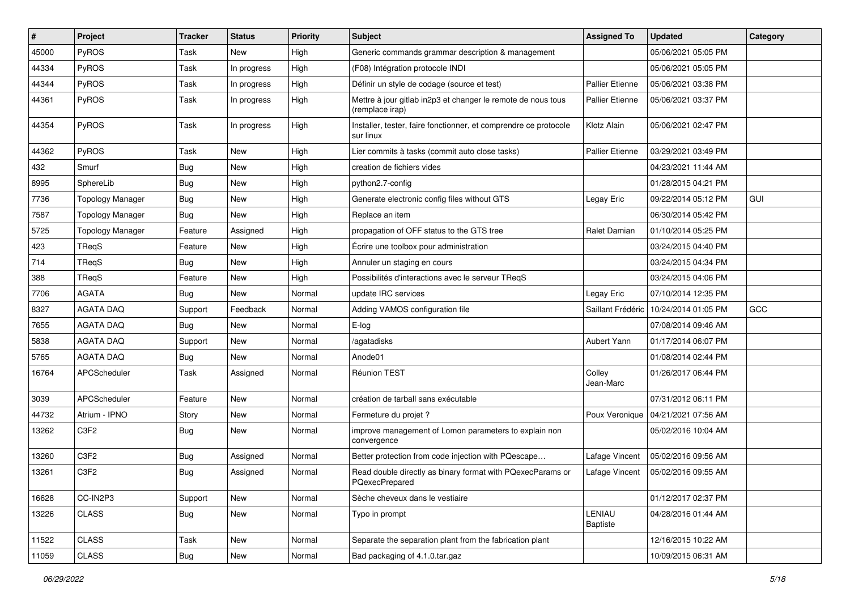| #     | Project                 | <b>Tracker</b> | <b>Status</b> | <b>Priority</b> | <b>Subject</b>                                                                  | <b>Assigned To</b>     | <b>Updated</b>      | Category   |
|-------|-------------------------|----------------|---------------|-----------------|---------------------------------------------------------------------------------|------------------------|---------------------|------------|
| 45000 | PyROS                   | Task           | New           | High            | Generic commands grammar description & management                               |                        | 05/06/2021 05:05 PM |            |
| 44334 | PyROS                   | Task           | In progress   | High            | (F08) Intégration protocole INDI                                                |                        | 05/06/2021 05:05 PM |            |
| 44344 | PyROS                   | Task           | In progress   | High            | Définir un style de codage (source et test)                                     | Pallier Etienne        | 05/06/2021 03:38 PM |            |
| 44361 | PyROS                   | Task           | In progress   | High            | Mettre à jour gitlab in2p3 et changer le remote de nous tous<br>(remplace irap) | Pallier Etienne        | 05/06/2021 03:37 PM |            |
| 44354 | PyROS                   | Task           | In progress   | High            | Installer, tester, faire fonctionner, et comprendre ce protocole<br>sur linux   | Klotz Alain            | 05/06/2021 02:47 PM |            |
| 44362 | PyROS                   | Task           | New           | High            | Lier commits à tasks (commit auto close tasks)                                  | <b>Pallier Etienne</b> | 03/29/2021 03:49 PM |            |
| 432   | Smurf                   | <b>Bug</b>     | New           | High            | creation de fichiers vides                                                      |                        | 04/23/2021 11:44 AM |            |
| 8995  | SphereLib               | Bug            | New           | High            | python2.7-config                                                                |                        | 01/28/2015 04:21 PM |            |
| 7736  | <b>Topology Manager</b> | <b>Bug</b>     | <b>New</b>    | High            | Generate electronic config files without GTS                                    | Legay Eric             | 09/22/2014 05:12 PM | <b>GUI</b> |
| 7587  | <b>Topology Manager</b> | <b>Bug</b>     | New           | High            | Replace an item                                                                 |                        | 06/30/2014 05:42 PM |            |
| 5725  | <b>Topology Manager</b> | Feature        | Assigned      | High            | propagation of OFF status to the GTS tree                                       | Ralet Damian           | 01/10/2014 05:25 PM |            |
| 423   | TReqS                   | Feature        | New           | High            | Écrire une toolbox pour administration                                          |                        | 03/24/2015 04:40 PM |            |
| 714   | <b>TRegS</b>            | <b>Bug</b>     | <b>New</b>    | High            | Annuler un staging en cours                                                     |                        | 03/24/2015 04:34 PM |            |
| 388   | TReqS                   | Feature        | New           | High            | Possibilités d'interactions avec le serveur TReqS                               |                        | 03/24/2015 04:06 PM |            |
| 7706  | <b>AGATA</b>            | <b>Bug</b>     | New           | Normal          | update IRC services                                                             | Legay Eric             | 07/10/2014 12:35 PM |            |
| 8327  | <b>AGATA DAQ</b>        | Support        | Feedback      | Normal          | Adding VAMOS configuration file                                                 | Saillant Frédéric      | 10/24/2014 01:05 PM | GCC        |
| 7655  | <b>AGATA DAQ</b>        | <b>Bug</b>     | New           | Normal          | E-log                                                                           |                        | 07/08/2014 09:46 AM |            |
| 5838  | <b>AGATA DAQ</b>        | Support        | <b>New</b>    | Normal          | /agatadisks                                                                     | Aubert Yann            | 01/17/2014 06:07 PM |            |
| 5765  | <b>AGATA DAQ</b>        | <b>Bug</b>     | New           | Normal          | Anode01                                                                         |                        | 01/08/2014 02:44 PM |            |
| 16764 | APCScheduler            | Task           | Assigned      | Normal          | Réunion TEST                                                                    | Colley<br>Jean-Marc    | 01/26/2017 06:44 PM |            |
| 3039  | APCScheduler            | Feature        | <b>New</b>    | Normal          | création de tarball sans exécutable                                             |                        | 07/31/2012 06:11 PM |            |
| 44732 | Atrium - IPNO           | Story          | New           | Normal          | Fermeture du projet ?                                                           | Poux Veronique         | 04/21/2021 07:56 AM |            |
| 13262 | C <sub>3F2</sub>        | <b>Bug</b>     | New           | Normal          | improve management of Lomon parameters to explain non<br>convergence            |                        | 05/02/2016 10:04 AM |            |
| 13260 | C <sub>3F2</sub>        | <b>Bug</b>     | Assigned      | Normal          | Better protection from code injection with PQescape                             | Lafage Vincent         | 05/02/2016 09:56 AM |            |
| 13261 | C <sub>3F2</sub>        | Bug            | Assigned      | Normal          | Read double directly as binary format with PQexecParams or<br>PQexecPrepared    | Lafage Vincent         | 05/02/2016 09:55 AM |            |
| 16628 | CC-IN2P3                | Support        | New           | Normal          | Sèche cheveux dans le vestiaire                                                 |                        | 01/12/2017 02:37 PM |            |
| 13226 | <b>CLASS</b>            | <b>Bug</b>     | New           | Normal          | Typo in prompt                                                                  | LENIAU<br>Baptiste     | 04/28/2016 01:44 AM |            |
| 11522 | <b>CLASS</b>            | Task           | New           | Normal          | Separate the separation plant from the fabrication plant                        |                        | 12/16/2015 10:22 AM |            |
| 11059 | CLASS                   | Bug            | New           | Normal          | Bad packaging of 4.1.0.tar.gaz                                                  |                        | 10/09/2015 06:31 AM |            |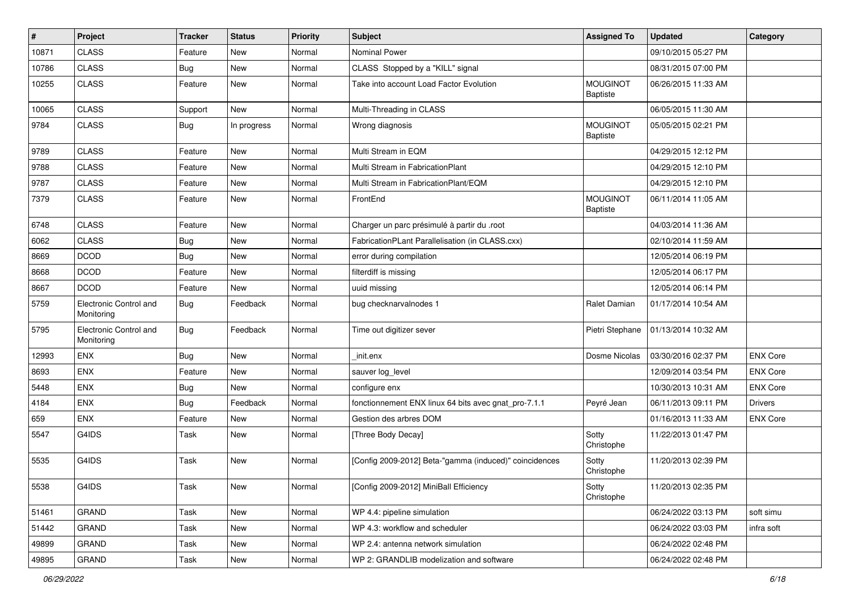| #     | Project                              | <b>Tracker</b> | <b>Status</b> | <b>Priority</b> | Subject                                                | <b>Assigned To</b>                 | <b>Updated</b>      | Category        |
|-------|--------------------------------------|----------------|---------------|-----------------|--------------------------------------------------------|------------------------------------|---------------------|-----------------|
| 10871 | <b>CLASS</b>                         | Feature        | New           | Normal          | Nominal Power                                          |                                    | 09/10/2015 05:27 PM |                 |
| 10786 | <b>CLASS</b>                         | <b>Bug</b>     | New           | Normal          | CLASS Stopped by a "KILL" signal                       |                                    | 08/31/2015 07:00 PM |                 |
| 10255 | <b>CLASS</b>                         | Feature        | <b>New</b>    | Normal          | Take into account Load Factor Evolution                | <b>MOUGINOT</b><br><b>Baptiste</b> | 06/26/2015 11:33 AM |                 |
| 10065 | <b>CLASS</b>                         | Support        | <b>New</b>    | Normal          | Multi-Threading in CLASS                               |                                    | 06/05/2015 11:30 AM |                 |
| 9784  | <b>CLASS</b>                         | Bug            | In progress   | Normal          | Wrong diagnosis                                        | <b>MOUGINOT</b><br><b>Baptiste</b> | 05/05/2015 02:21 PM |                 |
| 9789  | <b>CLASS</b>                         | Feature        | <b>New</b>    | Normal          | Multi Stream in EQM                                    |                                    | 04/29/2015 12:12 PM |                 |
| 9788  | <b>CLASS</b>                         | Feature        | <b>New</b>    | Normal          | Multi Stream in FabricationPlant                       |                                    | 04/29/2015 12:10 PM |                 |
| 9787  | <b>CLASS</b>                         | Feature        | <b>New</b>    | Normal          | Multi Stream in FabricationPlant/EQM                   |                                    | 04/29/2015 12:10 PM |                 |
| 7379  | <b>CLASS</b>                         | Feature        | <b>New</b>    | Normal          | FrontEnd                                               | <b>MOUGINOT</b><br><b>Baptiste</b> | 06/11/2014 11:05 AM |                 |
| 6748  | <b>CLASS</b>                         | Feature        | New           | Normal          | Charger un parc présimulé à partir du .root            |                                    | 04/03/2014 11:36 AM |                 |
| 6062  | <b>CLASS</b>                         | <b>Bug</b>     | New           | Normal          | FabricationPLant Parallelisation (in CLASS.cxx)        |                                    | 02/10/2014 11:59 AM |                 |
| 8669  | <b>DCOD</b>                          | <b>Bug</b>     | <b>New</b>    | Normal          | error during compilation                               |                                    | 12/05/2014 06:19 PM |                 |
| 8668  | <b>DCOD</b>                          | Feature        | <b>New</b>    | Normal          | filterdiff is missing                                  |                                    | 12/05/2014 06:17 PM |                 |
| 8667  | <b>DCOD</b>                          | Feature        | <b>New</b>    | Normal          | uuid missing                                           |                                    | 12/05/2014 06:14 PM |                 |
| 5759  | Electronic Control and<br>Monitoring | Bug            | Feedback      | Normal          | bug checknarvalnodes 1                                 | Ralet Damian                       | 01/17/2014 10:54 AM |                 |
| 5795  | Electronic Control and<br>Monitoring | Bug            | Feedback      | Normal          | Time out digitizer sever                               | Pietri Stephane                    | 01/13/2014 10:32 AM |                 |
| 12993 | ENX                                  | Bug            | New           | Normal          | init.enx                                               | Dosme Nicolas                      | 03/30/2016 02:37 PM | <b>ENX Core</b> |
| 8693  | ENX                                  | Feature        | <b>New</b>    | Normal          | sauver log_level                                       |                                    | 12/09/2014 03:54 PM | <b>ENX Core</b> |
| 5448  | ENX                                  | <b>Bug</b>     | <b>New</b>    | Normal          | configure enx                                          |                                    | 10/30/2013 10:31 AM | <b>ENX Core</b> |
| 4184  | ENX                                  | <b>Bug</b>     | Feedback      | Normal          | fonctionnement ENX linux 64 bits avec gnat_pro-7.1.1   | Peyré Jean                         | 06/11/2013 09:11 PM | <b>Drivers</b>  |
| 659   | <b>ENX</b>                           | Feature        | <b>New</b>    | Normal          | Gestion des arbres DOM                                 |                                    | 01/16/2013 11:33 AM | <b>ENX Core</b> |
| 5547  | G4IDS                                | Task           | <b>New</b>    | Normal          | [Three Body Decay]                                     | Sotty<br>Christophe                | 11/22/2013 01:47 PM |                 |
| 5535  | G4IDS                                | Task           | <b>New</b>    | Normal          | [Config 2009-2012] Beta-"gamma (induced)" coincidences | Sotty<br>Christophe                | 11/20/2013 02:39 PM |                 |
| 5538  | G4IDS                                | Task           | New           | Normal          | [Config 2009-2012] MiniBall Efficiency                 | Sotty<br>Christophe                | 11/20/2013 02:35 PM |                 |
| 51461 | <b>GRAND</b>                         | Task           | New           | Normal          | WP 4.4: pipeline simulation                            |                                    | 06/24/2022 03:13 PM | soft simu       |
| 51442 | GRAND                                | Task           | <b>New</b>    | Normal          | WP 4.3: workflow and scheduler                         |                                    | 06/24/2022 03:03 PM | infra soft      |
| 49899 | <b>GRAND</b>                         | Task           | New           | Normal          | WP 2.4: antenna network simulation                     |                                    | 06/24/2022 02:48 PM |                 |
| 49895 | <b>GRAND</b>                         | Task           | New           | Normal          | WP 2: GRANDLIB modelization and software               |                                    | 06/24/2022 02:48 PM |                 |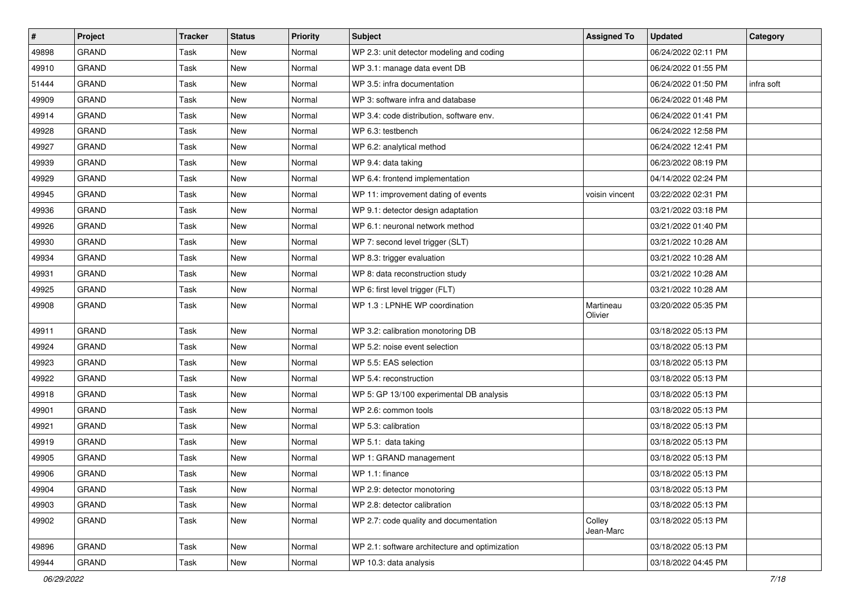| $\sharp$ | Project      | <b>Tracker</b> | <b>Status</b> | <b>Priority</b> | Subject                                        | <b>Assigned To</b>   | <b>Updated</b>      | Category   |
|----------|--------------|----------------|---------------|-----------------|------------------------------------------------|----------------------|---------------------|------------|
| 49898    | <b>GRAND</b> | Task           | <b>New</b>    | Normal          | WP 2.3: unit detector modeling and coding      |                      | 06/24/2022 02:11 PM |            |
| 49910    | <b>GRAND</b> | Task           | New           | Normal          | WP 3.1: manage data event DB                   |                      | 06/24/2022 01:55 PM |            |
| 51444    | <b>GRAND</b> | Task           | New           | Normal          | WP 3.5: infra documentation                    |                      | 06/24/2022 01:50 PM | infra soft |
| 49909    | <b>GRAND</b> | Task           | New           | Normal          | WP 3: software infra and database              |                      | 06/24/2022 01:48 PM |            |
| 49914    | <b>GRAND</b> | Task           | New           | Normal          | WP 3.4: code distribution, software env.       |                      | 06/24/2022 01:41 PM |            |
| 49928    | <b>GRAND</b> | Task           | New           | Normal          | WP 6.3: testbench                              |                      | 06/24/2022 12:58 PM |            |
| 49927    | <b>GRAND</b> | Task           | <b>New</b>    | Normal          | WP 6.2: analytical method                      |                      | 06/24/2022 12:41 PM |            |
| 49939    | <b>GRAND</b> | Task           | New           | Normal          | WP 9.4: data taking                            |                      | 06/23/2022 08:19 PM |            |
| 49929    | <b>GRAND</b> | Task           | New           | Normal          | WP 6.4: frontend implementation                |                      | 04/14/2022 02:24 PM |            |
| 49945    | <b>GRAND</b> | Task           | New           | Normal          | WP 11: improvement dating of events            | voisin vincent       | 03/22/2022 02:31 PM |            |
| 49936    | <b>GRAND</b> | Task           | <b>New</b>    | Normal          | WP 9.1: detector design adaptation             |                      | 03/21/2022 03:18 PM |            |
| 49926    | <b>GRAND</b> | Task           | New           | Normal          | WP 6.1: neuronal network method                |                      | 03/21/2022 01:40 PM |            |
| 49930    | <b>GRAND</b> | Task           | New           | Normal          | WP 7: second level trigger (SLT)               |                      | 03/21/2022 10:28 AM |            |
| 49934    | <b>GRAND</b> | Task           | New           | Normal          | WP 8.3: trigger evaluation                     |                      | 03/21/2022 10:28 AM |            |
| 49931    | <b>GRAND</b> | Task           | New           | Normal          | WP 8: data reconstruction study                |                      | 03/21/2022 10:28 AM |            |
| 49925    | <b>GRAND</b> | Task           | <b>New</b>    | Normal          | WP 6: first level trigger (FLT)                |                      | 03/21/2022 10:28 AM |            |
| 49908    | <b>GRAND</b> | Task           | New           | Normal          | WP 1.3 : LPNHE WP coordination                 | Martineau<br>Olivier | 03/20/2022 05:35 PM |            |
| 49911    | <b>GRAND</b> | Task           | New           | Normal          | WP 3.2: calibration monotoring DB              |                      | 03/18/2022 05:13 PM |            |
| 49924    | <b>GRAND</b> | Task           | <b>New</b>    | Normal          | WP 5.2: noise event selection                  |                      | 03/18/2022 05:13 PM |            |
| 49923    | <b>GRAND</b> | Task           | New           | Normal          | WP 5.5: EAS selection                          |                      | 03/18/2022 05:13 PM |            |
| 49922    | <b>GRAND</b> | Task           | New           | Normal          | WP 5.4: reconstruction                         |                      | 03/18/2022 05:13 PM |            |
| 49918    | <b>GRAND</b> | Task           | New           | Normal          | WP 5: GP 13/100 experimental DB analysis       |                      | 03/18/2022 05:13 PM |            |
| 49901    | <b>GRAND</b> | Task           | New           | Normal          | WP 2.6: common tools                           |                      | 03/18/2022 05:13 PM |            |
| 49921    | <b>GRAND</b> | Task           | New           | Normal          | WP 5.3: calibration                            |                      | 03/18/2022 05:13 PM |            |
| 49919    | <b>GRAND</b> | Task           | New           | Normal          | WP 5.1: data taking                            |                      | 03/18/2022 05:13 PM |            |
| 49905    | <b>GRAND</b> | Task           | New           | Normal          | WP 1: GRAND management                         |                      | 03/18/2022 05:13 PM |            |
| 49906    | <b>GRAND</b> | Task           | New           | Normal          | WP 1.1: finance                                |                      | 03/18/2022 05:13 PM |            |
| 49904    | GRAND        | Task           | New           | Normal          | WP 2.9: detector monotoring                    |                      | 03/18/2022 05:13 PM |            |
| 49903    | GRAND        | Task           | New           | Normal          | WP 2.8: detector calibration                   |                      | 03/18/2022 05:13 PM |            |
| 49902    | <b>GRAND</b> | Task           | New           | Normal          | WP 2.7: code quality and documentation         | Colley<br>Jean-Marc  | 03/18/2022 05:13 PM |            |
| 49896    | GRAND        | Task           | New           | Normal          | WP 2.1: software architecture and optimization |                      | 03/18/2022 05:13 PM |            |
| 49944    | GRAND        | Task           | New           | Normal          | WP 10.3: data analysis                         |                      | 03/18/2022 04:45 PM |            |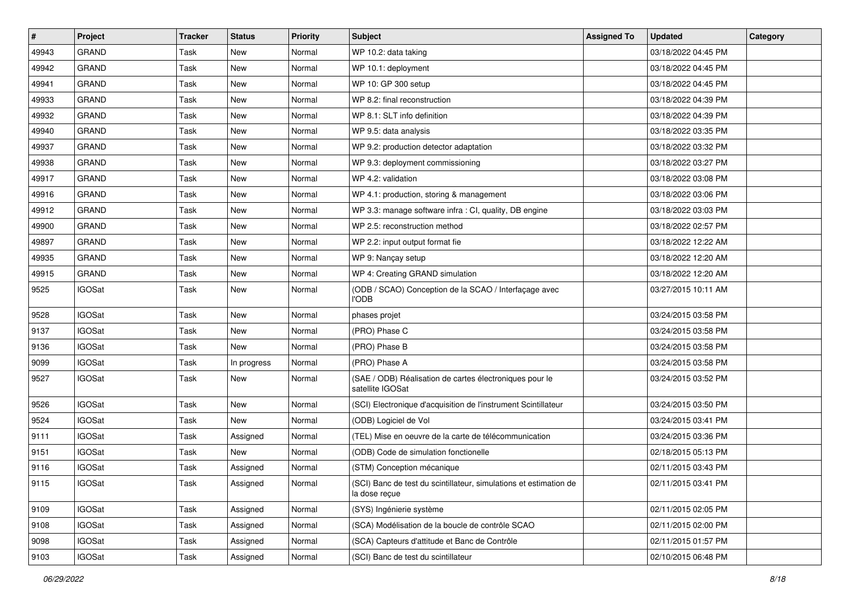| #     | Project       | <b>Tracker</b> | <b>Status</b> | <b>Priority</b> | Subject                                                                            | <b>Assigned To</b> | <b>Updated</b>      | Category |
|-------|---------------|----------------|---------------|-----------------|------------------------------------------------------------------------------------|--------------------|---------------------|----------|
| 49943 | <b>GRAND</b>  | Task           | New           | Normal          | WP 10.2: data taking                                                               |                    | 03/18/2022 04:45 PM |          |
| 49942 | <b>GRAND</b>  | Task           | New           | Normal          | WP 10.1: deployment                                                                |                    | 03/18/2022 04:45 PM |          |
| 49941 | <b>GRAND</b>  | Task           | New           | Normal          | WP 10: GP 300 setup                                                                |                    | 03/18/2022 04:45 PM |          |
| 49933 | <b>GRAND</b>  | Task           | New           | Normal          | WP 8.2: final reconstruction                                                       |                    | 03/18/2022 04:39 PM |          |
| 49932 | <b>GRAND</b>  | Task           | New           | Normal          | WP 8.1: SLT info definition                                                        |                    | 03/18/2022 04:39 PM |          |
| 49940 | <b>GRAND</b>  | Task           | New           | Normal          | WP 9.5: data analysis                                                              |                    | 03/18/2022 03:35 PM |          |
| 49937 | <b>GRAND</b>  | Task           | <b>New</b>    | Normal          | WP 9.2: production detector adaptation                                             |                    | 03/18/2022 03:32 PM |          |
| 49938 | <b>GRAND</b>  | Task           | New           | Normal          | WP 9.3: deployment commissioning                                                   |                    | 03/18/2022 03:27 PM |          |
| 49917 | <b>GRAND</b>  | Task           | New           | Normal          | WP 4.2: validation                                                                 |                    | 03/18/2022 03:08 PM |          |
| 49916 | <b>GRAND</b>  | Task           | <b>New</b>    | Normal          | WP 4.1: production, storing & management                                           |                    | 03/18/2022 03:06 PM |          |
| 49912 | <b>GRAND</b>  | Task           | <b>New</b>    | Normal          | WP 3.3: manage software infra : CI, quality, DB engine                             |                    | 03/18/2022 03:03 PM |          |
| 49900 | <b>GRAND</b>  | Task           | New           | Normal          | WP 2.5: reconstruction method                                                      |                    | 03/18/2022 02:57 PM |          |
| 49897 | <b>GRAND</b>  | Task           | New           | Normal          | WP 2.2: input output format fie                                                    |                    | 03/18/2022 12:22 AM |          |
| 49935 | <b>GRAND</b>  | Task           | New           | Normal          | WP 9: Nançay setup                                                                 |                    | 03/18/2022 12:20 AM |          |
| 49915 | <b>GRAND</b>  | Task           | <b>New</b>    | Normal          | WP 4: Creating GRAND simulation                                                    |                    | 03/18/2022 12:20 AM |          |
| 9525  | <b>IGOSat</b> | Task           | New           | Normal          | (ODB / SCAO) Conception de la SCAO / Interfaçage avec<br><b>I'ODB</b>              |                    | 03/27/2015 10:11 AM |          |
| 9528  | <b>IGOSat</b> | Task           | <b>New</b>    | Normal          | phases projet                                                                      |                    | 03/24/2015 03:58 PM |          |
| 9137  | <b>IGOSat</b> | Task           | <b>New</b>    | Normal          | (PRO) Phase C                                                                      |                    | 03/24/2015 03:58 PM |          |
| 9136  | <b>IGOSat</b> | Task           | <b>New</b>    | Normal          | (PRO) Phase B                                                                      |                    | 03/24/2015 03:58 PM |          |
| 9099  | <b>IGOSat</b> | Task           | In progress   | Normal          | (PRO) Phase A                                                                      |                    | 03/24/2015 03:58 PM |          |
| 9527  | <b>IGOSat</b> | Task           | New           | Normal          | (SAE / ODB) Réalisation de cartes électroniques pour le<br>satellite IGOSat        |                    | 03/24/2015 03:52 PM |          |
| 9526  | <b>IGOSat</b> | Task           | New           | Normal          | (SCI) Electronique d'acquisition de l'instrument Scintillateur                     |                    | 03/24/2015 03:50 PM |          |
| 9524  | <b>IGOSat</b> | Task           | New           | Normal          | (ODB) Logiciel de Vol                                                              |                    | 03/24/2015 03:41 PM |          |
| 9111  | <b>IGOSat</b> | Task           | Assigned      | Normal          | (TEL) Mise en oeuvre de la carte de télécommunication                              |                    | 03/24/2015 03:36 PM |          |
| 9151  | <b>IGOSat</b> | Task           | New           | Normal          | (ODB) Code de simulation fonctionelle                                              |                    | 02/18/2015 05:13 PM |          |
| 9116  | <b>IGOSat</b> | Task           | Assigned      | Normal          | (STM) Conception mécanique                                                         |                    | 02/11/2015 03:43 PM |          |
| 9115  | <b>IGOSat</b> | Task           | Assigned      | Normal          | (SCI) Banc de test du scintillateur, simulations et estimation de<br>la dose reçue |                    | 02/11/2015 03:41 PM |          |
| 9109  | <b>IGOSat</b> | Task           | Assigned      | Normal          | (SYS) Ingénierie système                                                           |                    | 02/11/2015 02:05 PM |          |
| 9108  | <b>IGOSat</b> | Task           | Assigned      | Normal          | (SCA) Modélisation de la boucle de contrôle SCAO                                   |                    | 02/11/2015 02:00 PM |          |
| 9098  | <b>IGOSat</b> | Task           | Assigned      | Normal          | (SCA) Capteurs d'attitude et Banc de Contrôle                                      |                    | 02/11/2015 01:57 PM |          |
| 9103  | <b>IGOSat</b> | Task           | Assigned      | Normal          | (SCI) Banc de test du scintillateur                                                |                    | 02/10/2015 06:48 PM |          |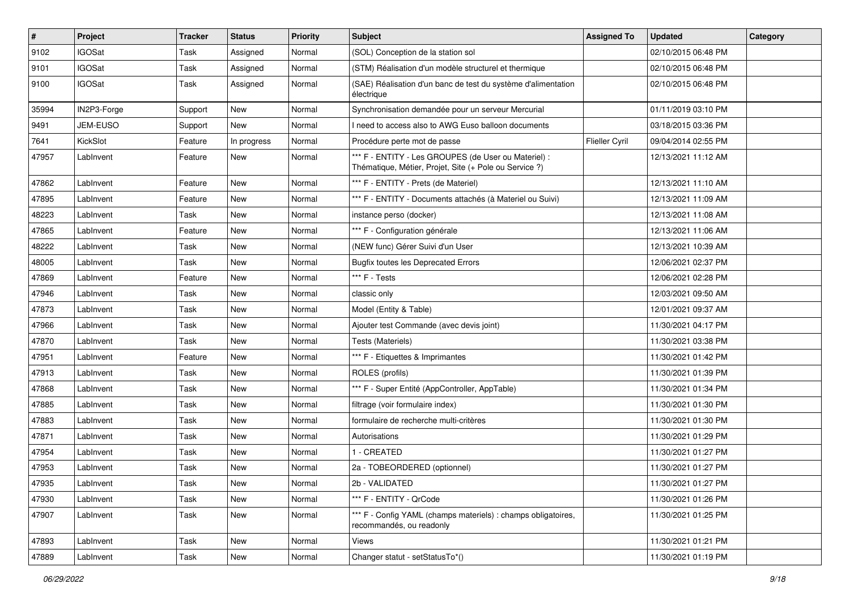| $\vert$ # | Project       | <b>Tracker</b> | <b>Status</b> | <b>Priority</b> | Subject                                                                                                        | <b>Assigned To</b>    | <b>Updated</b>      | Category |
|-----------|---------------|----------------|---------------|-----------------|----------------------------------------------------------------------------------------------------------------|-----------------------|---------------------|----------|
| 9102      | <b>IGOSat</b> | Task           | Assigned      | Normal          | (SOL) Conception de la station sol                                                                             |                       | 02/10/2015 06:48 PM |          |
| 9101      | <b>IGOSat</b> | Task           | Assigned      | Normal          | (STM) Réalisation d'un modèle structurel et thermique                                                          |                       | 02/10/2015 06:48 PM |          |
| 9100      | <b>IGOSat</b> | Task           | Assigned      | Normal          | (SAE) Réalisation d'un banc de test du système d'alimentation<br>électrique                                    |                       | 02/10/2015 06:48 PM |          |
| 35994     | IN2P3-Forge   | Support        | New           | Normal          | Synchronisation demandée pour un serveur Mercurial                                                             |                       | 01/11/2019 03:10 PM |          |
| 9491      | JEM-EUSO      | Support        | New           | Normal          | I need to access also to AWG Euso balloon documents                                                            |                       | 03/18/2015 03:36 PM |          |
| 7641      | KickSlot      | Feature        | In progress   | Normal          | Procédure perte mot de passe                                                                                   | <b>Flieller Cyril</b> | 09/04/2014 02:55 PM |          |
| 47957     | LabInvent     | Feature        | New           | Normal          | *** F - ENTITY - Les GROUPES (de User ou Materiel) :<br>Thématique, Métier, Projet, Site (+ Pole ou Service ?) |                       | 12/13/2021 11:12 AM |          |
| 47862     | LabInvent     | Feature        | <b>New</b>    | Normal          | *** F - ENTITY - Prets (de Materiel)                                                                           |                       | 12/13/2021 11:10 AM |          |
| 47895     | LabInvent     | Feature        | New           | Normal          | *** F - ENTITY - Documents attachés (à Materiel ou Suivi)                                                      |                       | 12/13/2021 11:09 AM |          |
| 48223     | LabInvent     | Task           | <b>New</b>    | Normal          | instance perso (docker)                                                                                        |                       | 12/13/2021 11:08 AM |          |
| 47865     | LabInvent     | Feature        | New           | Normal          | *** F - Configuration générale                                                                                 |                       | 12/13/2021 11:06 AM |          |
| 48222     | LabInvent     | Task           | <b>New</b>    | Normal          | (NEW func) Gérer Suivi d'un User                                                                               |                       | 12/13/2021 10:39 AM |          |
| 48005     | LabInvent     | Task           | <b>New</b>    | Normal          | <b>Bugfix toutes les Deprecated Errors</b>                                                                     |                       | 12/06/2021 02:37 PM |          |
| 47869     | LabInvent     | Feature        | New           | Normal          | *** F - Tests                                                                                                  |                       | 12/06/2021 02:28 PM |          |
| 47946     | LabInvent     | Task           | <b>New</b>    | Normal          | classic only                                                                                                   |                       | 12/03/2021 09:50 AM |          |
| 47873     | LabInvent     | Task           | New           | Normal          | Model (Entity & Table)                                                                                         |                       | 12/01/2021 09:37 AM |          |
| 47966     | LabInvent     | Task           | New           | Normal          | Ajouter test Commande (avec devis joint)                                                                       |                       | 11/30/2021 04:17 PM |          |
| 47870     | LabInvent     | Task           | <b>New</b>    | Normal          | Tests (Materiels)                                                                                              |                       | 11/30/2021 03:38 PM |          |
| 47951     | LabInvent     | Feature        | New           | Normal          | *** F - Etiquettes & Imprimantes                                                                               |                       | 11/30/2021 01:42 PM |          |
| 47913     | LabInvent     | Task           | New           | Normal          | ROLES (profils)                                                                                                |                       | 11/30/2021 01:39 PM |          |
| 47868     | LabInvent     | Task           | New           | Normal          | *** F - Super Entité (AppController, AppTable)                                                                 |                       | 11/30/2021 01:34 PM |          |
| 47885     | LabInvent     | Task           | <b>New</b>    | Normal          | filtrage (voir formulaire index)                                                                               |                       | 11/30/2021 01:30 PM |          |
| 47883     | LabInvent     | Task           | <b>New</b>    | Normal          | formulaire de recherche multi-critères                                                                         |                       | 11/30/2021 01:30 PM |          |
| 47871     | LabInvent     | Task           | New           | Normal          | Autorisations                                                                                                  |                       | 11/30/2021 01:29 PM |          |
| 47954     | LabInvent     | Task           | <b>New</b>    | Normal          | 1 - CREATED                                                                                                    |                       | 11/30/2021 01:27 PM |          |
| 47953     | LabInvent     | Task           | <b>New</b>    | Normal          | 2a - TOBEORDERED (optionnel)                                                                                   |                       | 11/30/2021 01:27 PM |          |
| 47935     | Lablnvent     | Task           | New           | Normal          | 2b - VALIDATED                                                                                                 |                       | 11/30/2021 01:27 PM |          |
| 47930     | LabInvent     | Task           | New           | Normal          | *** F - ENTITY - QrCode                                                                                        |                       | 11/30/2021 01:26 PM |          |
| 47907     | LabInvent     | Task           | New           | Normal          | *** F - Config YAML (champs materiels) : champs obligatoires,<br>recommandés, ou readonly                      |                       | 11/30/2021 01:25 PM |          |
| 47893     | LabInvent     | Task           | New           | Normal          | Views                                                                                                          |                       | 11/30/2021 01:21 PM |          |
| 47889     | LabInvent     | Task           | New           | Normal          | Changer statut - setStatusTo*()                                                                                |                       | 11/30/2021 01:19 PM |          |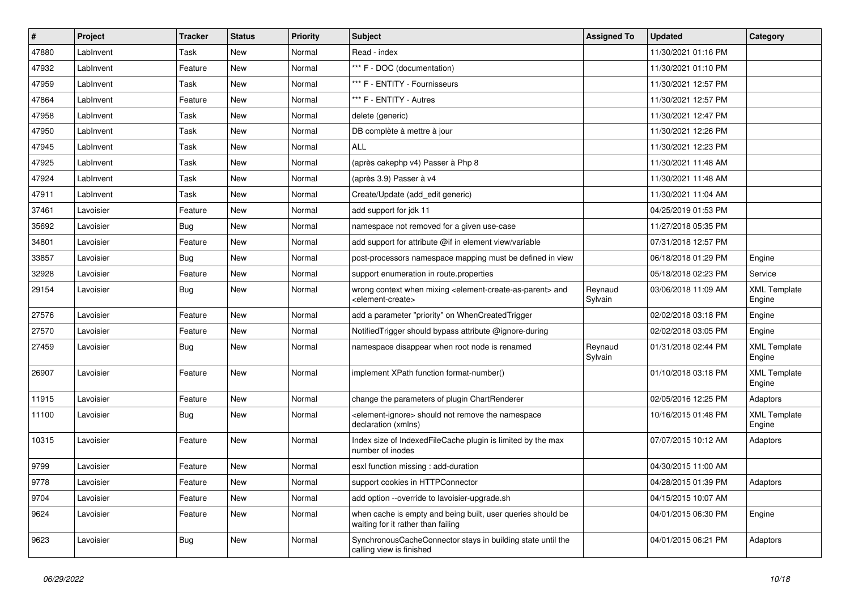| $\sharp$ | Project   | <b>Tracker</b> | <b>Status</b> | <b>Priority</b> | Subject                                                                                                                   | <b>Assigned To</b> | <b>Updated</b>      | Category                      |
|----------|-----------|----------------|---------------|-----------------|---------------------------------------------------------------------------------------------------------------------------|--------------------|---------------------|-------------------------------|
| 47880    | LabInvent | Task           | <b>New</b>    | Normal          | Read - index                                                                                                              |                    | 11/30/2021 01:16 PM |                               |
| 47932    | LabInvent | Feature        | <b>New</b>    | Normal          | *** F - DOC (documentation)                                                                                               |                    | 11/30/2021 01:10 PM |                               |
| 47959    | LabInvent | Task           | <b>New</b>    | Normal          | *** F - ENTITY - Fournisseurs                                                                                             |                    | 11/30/2021 12:57 PM |                               |
| 47864    | LabInvent | Feature        | New           | Normal          | *** F - ENTITY - Autres                                                                                                   |                    | 11/30/2021 12:57 PM |                               |
| 47958    | LabInvent | Task           | <b>New</b>    | Normal          | delete (generic)                                                                                                          |                    | 11/30/2021 12:47 PM |                               |
| 47950    | LabInvent | Task           | <b>New</b>    | Normal          | DB complète à mettre à jour                                                                                               |                    | 11/30/2021 12:26 PM |                               |
| 47945    | LabInvent | Task           | <b>New</b>    | Normal          | ALL                                                                                                                       |                    | 11/30/2021 12:23 PM |                               |
| 47925    | LabInvent | Task           | New           | Normal          | (après cakephp v4) Passer à Php 8                                                                                         |                    | 11/30/2021 11:48 AM |                               |
| 47924    | LabInvent | Task           | New           | Normal          | (après 3.9) Passer à v4                                                                                                   |                    | 11/30/2021 11:48 AM |                               |
| 47911    | LabInvent | Task           | New           | Normal          | Create/Update (add edit generic)                                                                                          |                    | 11/30/2021 11:04 AM |                               |
| 37461    | Lavoisier | Feature        | New           | Normal          | add support for jdk 11                                                                                                    |                    | 04/25/2019 01:53 PM |                               |
| 35692    | Lavoisier | Bug            | <b>New</b>    | Normal          | namespace not removed for a given use-case                                                                                |                    | 11/27/2018 05:35 PM |                               |
| 34801    | Lavoisier | Feature        | New           | Normal          | add support for attribute @if in element view/variable                                                                    |                    | 07/31/2018 12:57 PM |                               |
| 33857    | Lavoisier | Bug            | <b>New</b>    | Normal          | post-processors namespace mapping must be defined in view                                                                 |                    | 06/18/2018 01:29 PM | Engine                        |
| 32928    | Lavoisier | Feature        | <b>New</b>    | Normal          | support enumeration in route properties                                                                                   |                    | 05/18/2018 02:23 PM | Service                       |
| 29154    | Lavoisier | Bug            | <b>New</b>    | Normal          | wrong context when mixing <element-create-as-parent> and<br/><element-create></element-create></element-create-as-parent> | Reynaud<br>Sylvain | 03/06/2018 11:09 AM | <b>XML Template</b><br>Engine |
| 27576    | Lavoisier | Feature        | <b>New</b>    | Normal          | add a parameter "priority" on WhenCreatedTrigger                                                                          |                    | 02/02/2018 03:18 PM | Engine                        |
| 27570    | Lavoisier | Feature        | New           | Normal          | NotifiedTrigger should bypass attribute @ignore-during                                                                    |                    | 02/02/2018 03:05 PM | Engine                        |
| 27459    | Lavoisier | <b>Bug</b>     | New           | Normal          | namespace disappear when root node is renamed                                                                             | Reynaud<br>Sylvain | 01/31/2018 02:44 PM | <b>XML Template</b><br>Engine |
| 26907    | Lavoisier | Feature        | <b>New</b>    | Normal          | implement XPath function format-number()                                                                                  |                    | 01/10/2018 03:18 PM | <b>XML Template</b><br>Engine |
| 11915    | Lavoisier | Feature        | New           | Normal          | change the parameters of plugin ChartRenderer                                                                             |                    | 02/05/2016 12:25 PM | Adaptors                      |
| 11100    | Lavoisier | Bug            | New           | Normal          | <element-ignore> should not remove the namespace<br/>declaration (xmlns)</element-ignore>                                 |                    | 10/16/2015 01:48 PM | <b>XML Template</b><br>Engine |
| 10315    | Lavoisier | Feature        | <b>New</b>    | Normal          | Index size of Indexed File Cache plugin is limited by the max<br>number of inodes                                         |                    | 07/07/2015 10:12 AM | Adaptors                      |
| 9799     | Lavoisier | Feature        | New           | Normal          | esxl function missing : add-duration                                                                                      |                    | 04/30/2015 11:00 AM |                               |
| 9778     | Lavoisier | Feature        | New           | Normal          | support cookies in HTTPConnector                                                                                          |                    | 04/28/2015 01:39 PM | Adaptors                      |
| 9704     | Lavoisier | Feature        | New           | Normal          | add option --override to lavoisier-upgrade.sh                                                                             |                    | 04/15/2015 10:07 AM |                               |
| 9624     | Lavoisier | Feature        | New           | Normal          | when cache is empty and being built, user queries should be<br>waiting for it rather than failing                         |                    | 04/01/2015 06:30 PM | Engine                        |
| 9623     | Lavoisier | <b>Bug</b>     | New           | Normal          | SynchronousCacheConnector stays in building state until the<br>calling view is finished                                   |                    | 04/01/2015 06:21 PM | Adaptors                      |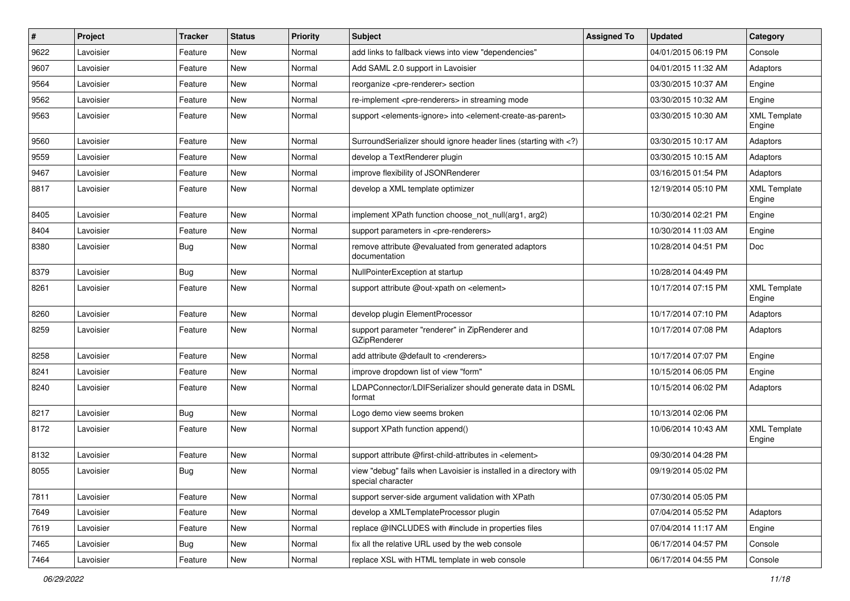| $\sharp$ | Project   | <b>Tracker</b> | <b>Status</b> | <b>Priority</b> | <b>Subject</b>                                                                                                              | <b>Assigned To</b> | <b>Updated</b>      | Category                      |
|----------|-----------|----------------|---------------|-----------------|-----------------------------------------------------------------------------------------------------------------------------|--------------------|---------------------|-------------------------------|
| 9622     | Lavoisier | Feature        | New           | Normal          | add links to fallback views into view "dependencies"                                                                        |                    | 04/01/2015 06:19 PM | Console                       |
| 9607     | Lavoisier | Feature        | <b>New</b>    | Normal          | Add SAML 2.0 support in Lavoisier                                                                                           |                    | 04/01/2015 11:32 AM | Adaptors                      |
| 9564     | Lavoisier | Feature        | New           | Normal          | reorganize <pre-renderer> section</pre-renderer>                                                                            |                    | 03/30/2015 10:37 AM | Engine                        |
| 9562     | Lavoisier | Feature        | New           | Normal          | re-implement <pre-renderers> in streaming mode</pre-renderers>                                                              |                    | 03/30/2015 10:32 AM | Engine                        |
| 9563     | Lavoisier | Feature        | New           | Normal          | support <elements-ignore> into <element-create-as-parent></element-create-as-parent></elements-ignore>                      |                    | 03/30/2015 10:30 AM | <b>XML Template</b><br>Engine |
| 9560     | Lavoisier | Feature        | <b>New</b>    | Normal          | SurroundSerializer should ignore header lines (starting with )</td <td></td> <td>03/30/2015 10:17 AM</td> <td>Adaptors</td> |                    | 03/30/2015 10:17 AM | Adaptors                      |
| 9559     | Lavoisier | Feature        | New           | Normal          | develop a TextRenderer plugin                                                                                               |                    | 03/30/2015 10:15 AM | Adaptors                      |
| 9467     | Lavoisier | Feature        | New           | Normal          | improve flexibility of JSONRenderer                                                                                         |                    | 03/16/2015 01:54 PM | Adaptors                      |
| 8817     | Lavoisier | Feature        | <b>New</b>    | Normal          | develop a XML template optimizer                                                                                            |                    | 12/19/2014 05:10 PM | <b>XML Template</b><br>Engine |
| 8405     | Lavoisier | Feature        | <b>New</b>    | Normal          | implement XPath function choose_not_null(arg1, arg2)                                                                        |                    | 10/30/2014 02:21 PM | Engine                        |
| 8404     | Lavoisier | Feature        | <b>New</b>    | Normal          | support parameters in <pre-renderers></pre-renderers>                                                                       |                    | 10/30/2014 11:03 AM | Engine                        |
| 8380     | Lavoisier | Bug            | New           | Normal          | remove attribute @evaluated from generated adaptors<br>documentation                                                        |                    | 10/28/2014 04:51 PM | Doc                           |
| 8379     | Lavoisier | Bug            | <b>New</b>    | Normal          | NullPointerException at startup                                                                                             |                    | 10/28/2014 04:49 PM |                               |
| 8261     | Lavoisier | Feature        | New           | Normal          | support attribute @out-xpath on <element></element>                                                                         |                    | 10/17/2014 07:15 PM | <b>XML Template</b><br>Engine |
| 8260     | Lavoisier | Feature        | <b>New</b>    | Normal          | develop plugin ElementProcessor                                                                                             |                    | 10/17/2014 07:10 PM | Adaptors                      |
| 8259     | Lavoisier | Feature        | New           | Normal          | support parameter "renderer" in ZipRenderer and<br><b>GZipRenderer</b>                                                      |                    | 10/17/2014 07:08 PM | Adaptors                      |
| 8258     | Lavoisier | Feature        | <b>New</b>    | Normal          | add attribute @default to <renderers></renderers>                                                                           |                    | 10/17/2014 07:07 PM | Engine                        |
| 8241     | Lavoisier | Feature        | New           | Normal          | improve dropdown list of view "form"                                                                                        |                    | 10/15/2014 06:05 PM | Engine                        |
| 8240     | Lavoisier | Feature        | New           | Normal          | LDAPConnector/LDIFSerializer should generate data in DSML<br>format                                                         |                    | 10/15/2014 06:02 PM | Adaptors                      |
| 8217     | Lavoisier | <b>Bug</b>     | <b>New</b>    | Normal          | Logo demo view seems broken                                                                                                 |                    | 10/13/2014 02:06 PM |                               |
| 8172     | Lavoisier | Feature        | New           | Normal          | support XPath function append()                                                                                             |                    | 10/06/2014 10:43 AM | <b>XML Template</b><br>Engine |
| 8132     | Lavoisier | Feature        | <b>New</b>    | Normal          | support attribute @first-child-attributes in <element></element>                                                            |                    | 09/30/2014 04:28 PM |                               |
| 8055     | Lavoisier | Bug            | New           | Normal          | view "debug" fails when Lavoisier is installed in a directory with<br>special character                                     |                    | 09/19/2014 05:02 PM |                               |
| 7811     | Lavoisier | Feature        | New           | Normal          | support server-side argument validation with XPath                                                                          |                    | 07/30/2014 05:05 PM |                               |
| 7649     | Lavoisier | Feature        | New           | Normal          | develop a XMLTemplateProcessor plugin                                                                                       |                    | 07/04/2014 05:52 PM | Adaptors                      |
| 7619     | Lavoisier | Feature        | New           | Normal          | replace @INCLUDES with #include in properties files                                                                         |                    | 07/04/2014 11:17 AM | Engine                        |
| 7465     | Lavoisier | <b>Bug</b>     | New           | Normal          | fix all the relative URL used by the web console                                                                            |                    | 06/17/2014 04:57 PM | Console                       |
| 7464     | Lavoisier | Feature        | New           | Normal          | replace XSL with HTML template in web console                                                                               |                    | 06/17/2014 04:55 PM | Console                       |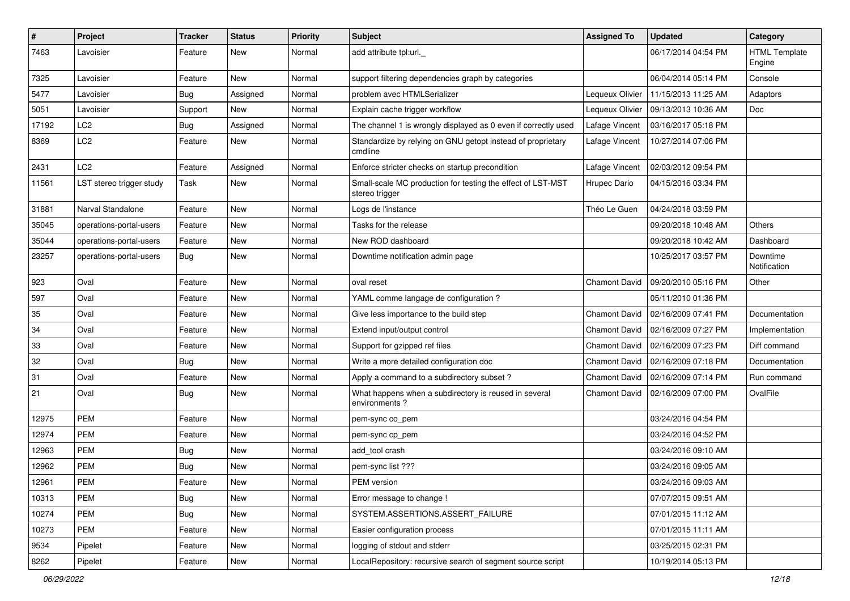| $\sharp$ | Project                  | <b>Tracker</b> | <b>Status</b> | <b>Priority</b> | <b>Subject</b>                                                                | <b>Assigned To</b>   | <b>Updated</b>      | Category                       |
|----------|--------------------------|----------------|---------------|-----------------|-------------------------------------------------------------------------------|----------------------|---------------------|--------------------------------|
| 7463     | Lavoisier                | Feature        | New           | Normal          | add attribute tpl:url.                                                        |                      | 06/17/2014 04:54 PM | <b>HTML Template</b><br>Engine |
| 7325     | Lavoisier                | Feature        | <b>New</b>    | Normal          | support filtering dependencies graph by categories                            |                      | 06/04/2014 05:14 PM | Console                        |
| 5477     | Lavoisier                | <b>Bug</b>     | Assigned      | Normal          | problem avec HTMLSerializer                                                   | Lequeux Olivier      | 11/15/2013 11:25 AM | Adaptors                       |
| 5051     | Lavoisier                | Support        | New           | Normal          | Explain cache trigger workflow                                                | Lequeux Olivier      | 09/13/2013 10:36 AM | Doc                            |
| 17192    | LC <sub>2</sub>          | <b>Bug</b>     | Assigned      | Normal          | The channel 1 is wrongly displayed as 0 even if correctly used                | Lafage Vincent       | 03/16/2017 05:18 PM |                                |
| 8369     | LC <sub>2</sub>          | Feature        | <b>New</b>    | Normal          | Standardize by relying on GNU getopt instead of proprietary<br>cmdline        | Lafage Vincent       | 10/27/2014 07:06 PM |                                |
| 2431     | LC <sub>2</sub>          | Feature        | Assigned      | Normal          | Enforce stricter checks on startup precondition                               | Lafage Vincent       | 02/03/2012 09:54 PM |                                |
| 11561    | LST stereo trigger study | Task           | New           | Normal          | Small-scale MC production for testing the effect of LST-MST<br>stereo trigger | Hrupec Dario         | 04/15/2016 03:34 PM |                                |
| 31881    | Narval Standalone        | Feature        | New           | Normal          | Logs de l'instance                                                            | Théo Le Guen         | 04/24/2018 03:59 PM |                                |
| 35045    | operations-portal-users  | Feature        | New           | Normal          | Tasks for the release                                                         |                      | 09/20/2018 10:48 AM | Others                         |
| 35044    | operations-portal-users  | Feature        | New           | Normal          | New ROD dashboard                                                             |                      | 09/20/2018 10:42 AM | Dashboard                      |
| 23257    | operations-portal-users  | Bug            | <b>New</b>    | Normal          | Downtime notification admin page                                              |                      | 10/25/2017 03:57 PM | Downtime<br>Notification       |
| 923      | Oval                     | Feature        | New           | Normal          | oval reset                                                                    | <b>Chamont David</b> | 09/20/2010 05:16 PM | Other                          |
| 597      | Oval                     | Feature        | <b>New</b>    | Normal          | YAML comme langage de configuration?                                          |                      | 05/11/2010 01:36 PM |                                |
| 35       | Oval                     | Feature        | New           | Normal          | Give less importance to the build step                                        | <b>Chamont David</b> | 02/16/2009 07:41 PM | Documentation                  |
| 34       | Oval                     | Feature        | <b>New</b>    | Normal          | Extend input/output control                                                   | Chamont David        | 02/16/2009 07:27 PM | Implementation                 |
| 33       | Oval                     | Feature        | New           | Normal          | Support for gzipped ref files                                                 | Chamont David        | 02/16/2009 07:23 PM | Diff command                   |
| 32       | Oval                     | <b>Bug</b>     | <b>New</b>    | Normal          | Write a more detailed configuration doc                                       | Chamont David        | 02/16/2009 07:18 PM | Documentation                  |
| 31       | Oval                     | Feature        | <b>New</b>    | Normal          | Apply a command to a subdirectory subset?                                     | Chamont David        | 02/16/2009 07:14 PM | Run command                    |
| 21       | Oval                     | Bug            | New           | Normal          | What happens when a subdirectory is reused in several<br>environments?        | <b>Chamont David</b> | 02/16/2009 07:00 PM | OvalFile                       |
| 12975    | <b>PEM</b>               | Feature        | New           | Normal          | pem-sync co_pem                                                               |                      | 03/24/2016 04:54 PM |                                |
| 12974    | <b>PEM</b>               | Feature        | New           | Normal          | pem-sync cp_pem                                                               |                      | 03/24/2016 04:52 PM |                                |
| 12963    | <b>PEM</b>               | <b>Bug</b>     | <b>New</b>    | Normal          | add tool crash                                                                |                      | 03/24/2016 09:10 AM |                                |
| 12962    | PEM                      | <b>Bug</b>     | New           | Normal          | pem-sync list ???                                                             |                      | 03/24/2016 09:05 AM |                                |
| 12961    | PEM                      | Feature        | New           | Normal          | PEM version                                                                   |                      | 03/24/2016 09:03 AM |                                |
| 10313    | <b>PEM</b>               | Bug            | New           | Normal          | Error message to change !                                                     |                      | 07/07/2015 09:51 AM |                                |
| 10274    | PEM                      | <b>Bug</b>     | New           | Normal          | SYSTEM.ASSERTIONS.ASSERT_FAILURE                                              |                      | 07/01/2015 11:12 AM |                                |
| 10273    | PEM                      | Feature        | New           | Normal          | Easier configuration process                                                  |                      | 07/01/2015 11:11 AM |                                |
| 9534     | Pipelet                  | Feature        | New           | Normal          | logging of stdout and stderr                                                  |                      | 03/25/2015 02:31 PM |                                |
| 8262     | Pipelet                  | Feature        | New           | Normal          | LocalRepository: recursive search of segment source script                    |                      | 10/19/2014 05:13 PM |                                |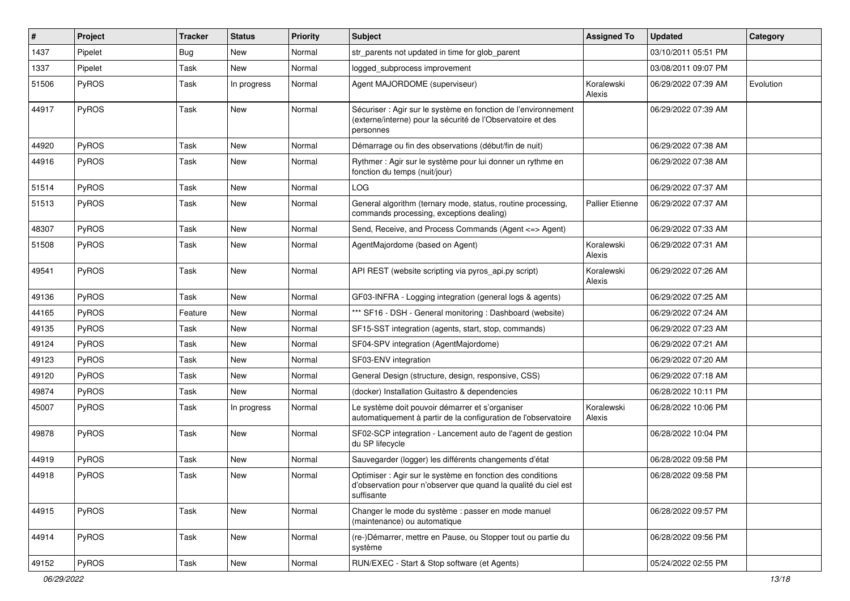| #     | Project      | <b>Tracker</b> | <b>Status</b> | <b>Priority</b> | <b>Subject</b>                                                                                                                             | <b>Assigned To</b>     | <b>Updated</b>      | Category  |
|-------|--------------|----------------|---------------|-----------------|--------------------------------------------------------------------------------------------------------------------------------------------|------------------------|---------------------|-----------|
| 1437  | Pipelet      | Bug            | New           | Normal          | str_parents not updated in time for glob_parent                                                                                            |                        | 03/10/2011 05:51 PM |           |
| 1337  | Pipelet      | Task           | New           | Normal          | logged subprocess improvement                                                                                                              |                        | 03/08/2011 09:07 PM |           |
| 51506 | PyROS        | Task           | In progress   | Normal          | Agent MAJORDOME (superviseur)                                                                                                              | Koralewski<br>Alexis   | 06/29/2022 07:39 AM | Evolution |
| 44917 | PyROS        | Task           | <b>New</b>    | Normal          | Sécuriser : Agir sur le système en fonction de l'environnement<br>(externe/interne) pour la sécurité de l'Observatoire et des<br>personnes |                        | 06/29/2022 07:39 AM |           |
| 44920 | PyROS        | Task           | New           | Normal          | Démarrage ou fin des observations (début/fin de nuit)                                                                                      |                        | 06/29/2022 07:38 AM |           |
| 44916 | PyROS        | Task           | New           | Normal          | Rythmer : Agir sur le système pour lui donner un rythme en<br>fonction du temps (nuit/jour)                                                |                        | 06/29/2022 07:38 AM |           |
| 51514 | PyROS        | Task           | New           | Normal          | LOG                                                                                                                                        |                        | 06/29/2022 07:37 AM |           |
| 51513 | PyROS        | Task           | New           | Normal          | General algorithm (ternary mode, status, routine processing,<br>commands processing, exceptions dealing)                                   | <b>Pallier Etienne</b> | 06/29/2022 07:37 AM |           |
| 48307 | PyROS        | Task           | <b>New</b>    | Normal          | Send, Receive, and Process Commands (Agent <= > Agent)                                                                                     |                        | 06/29/2022 07:33 AM |           |
| 51508 | PyROS        | Task           | New           | Normal          | AgentMajordome (based on Agent)                                                                                                            | Koralewski<br>Alexis   | 06/29/2022 07:31 AM |           |
| 49541 | PyROS        | Task           | New           | Normal          | API REST (website scripting via pyros_api.py script)                                                                                       | Koralewski<br>Alexis   | 06/29/2022 07:26 AM |           |
| 49136 | PyROS        | Task           | New           | Normal          | GF03-INFRA - Logging integration (general logs & agents)                                                                                   |                        | 06/29/2022 07:25 AM |           |
| 44165 | PyROS        | Feature        | New           | Normal          | *** SF16 - DSH - General monitoring: Dashboard (website)                                                                                   |                        | 06/29/2022 07:24 AM |           |
| 49135 | PyROS        | Task           | <b>New</b>    | Normal          | SF15-SST integration (agents, start, stop, commands)                                                                                       |                        | 06/29/2022 07:23 AM |           |
| 49124 | PyROS        | Task           | <b>New</b>    | Normal          | SF04-SPV integration (AgentMajordome)                                                                                                      |                        | 06/29/2022 07:21 AM |           |
| 49123 | PyROS        | Task           | New           | Normal          | SF03-ENV integration                                                                                                                       |                        | 06/29/2022 07:20 AM |           |
| 49120 | PyROS        | Task           | New           | Normal          | General Design (structure, design, responsive, CSS)                                                                                        |                        | 06/29/2022 07:18 AM |           |
| 49874 | PyROS        | Task           | New           | Normal          | (docker) Installation Guitastro & dependencies                                                                                             |                        | 06/28/2022 10:11 PM |           |
| 45007 | PyROS        | Task           | In progress   | Normal          | Le système doit pouvoir démarrer et s'organiser<br>automatiquement à partir de la configuration de l'observatoire                          | Koralewski<br>Alexis   | 06/28/2022 10:06 PM |           |
| 49878 | PyROS        | Task           | New           | Normal          | SF02-SCP integration - Lancement auto de l'agent de gestion<br>du SP lifecycle                                                             |                        | 06/28/2022 10:04 PM |           |
| 44919 | <b>PyROS</b> | Task           | <b>New</b>    | Normal          | Sauvegarder (logger) les différents changements d'état                                                                                     |                        | 06/28/2022 09:58 PM |           |
| 44918 | PyROS        | Task           | New           | Normal          | Optimiser : Agir sur le système en fonction des conditions<br>d'observation pour n'observer que quand la qualité du ciel est<br>suffisante |                        | 06/28/2022 09:58 PM |           |
| 44915 | PyROS        | Task           | New           | Normal          | Changer le mode du système : passer en mode manuel<br>(maintenance) ou automatique                                                         |                        | 06/28/2022 09:57 PM |           |
| 44914 | PyROS        | Task           | New           | Normal          | (re-)Démarrer, mettre en Pause, ou Stopper tout ou partie du<br>système                                                                    |                        | 06/28/2022 09:56 PM |           |
| 49152 | PyROS        | Task           | New           | Normal          | RUN/EXEC - Start & Stop software (et Agents)                                                                                               |                        | 05/24/2022 02:55 PM |           |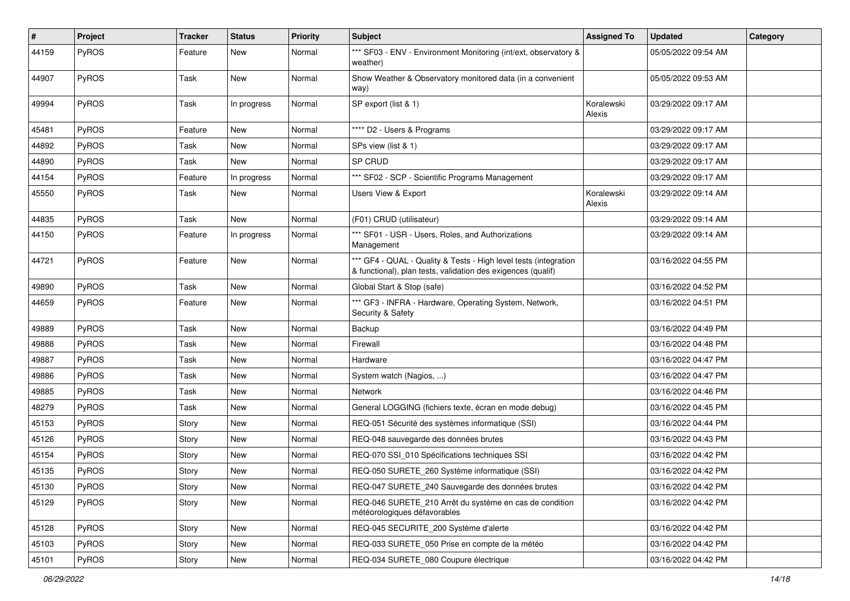| #     | Project      | <b>Tracker</b> | <b>Status</b> | <b>Priority</b> | Subject                                                                                                                          | <b>Assigned To</b>   | <b>Updated</b>      | Category |
|-------|--------------|----------------|---------------|-----------------|----------------------------------------------------------------------------------------------------------------------------------|----------------------|---------------------|----------|
| 44159 | PyROS        | Feature        | New           | Normal          | *** SF03 - ENV - Environment Monitoring (int/ext, observatory &<br>weather)                                                      |                      | 05/05/2022 09:54 AM |          |
| 44907 | PyROS        | Task           | New           | Normal          | Show Weather & Observatory monitored data (in a convenient<br>way)                                                               |                      | 05/05/2022 09:53 AM |          |
| 49994 | PyROS        | Task           | In progress   | Normal          | SP export (list & 1)                                                                                                             | Koralewski<br>Alexis | 03/29/2022 09:17 AM |          |
| 45481 | PyROS        | Feature        | New           | Normal          | **** D2 - Users & Programs                                                                                                       |                      | 03/29/2022 09:17 AM |          |
| 44892 | PyROS        | Task           | New           | Normal          | SPs view (list & 1)                                                                                                              |                      | 03/29/2022 09:17 AM |          |
| 44890 | PyROS        | Task           | New           | Normal          | SP CRUD                                                                                                                          |                      | 03/29/2022 09:17 AM |          |
| 44154 | PyROS        | Feature        | In progress   | Normal          | *** SF02 - SCP - Scientific Programs Management                                                                                  |                      | 03/29/2022 09:17 AM |          |
| 45550 | <b>PyROS</b> | Task           | New           | Normal          | <b>Users View &amp; Export</b>                                                                                                   | Koralewski<br>Alexis | 03/29/2022 09:14 AM |          |
| 44835 | PyROS        | Task           | New           | Normal          | (F01) CRUD (utilisateur)                                                                                                         |                      | 03/29/2022 09:14 AM |          |
| 44150 | PyROS        | Feature        | In progress   | Normal          | *** SF01 - USR - Users, Roles, and Authorizations<br>Management                                                                  |                      | 03/29/2022 09:14 AM |          |
| 44721 | PyROS        | Feature        | New           | Normal          | *** GF4 - QUAL - Quality & Tests - High level tests (integration<br>& functional), plan tests, validation des exigences (qualif) |                      | 03/16/2022 04:55 PM |          |
| 49890 | PyROS        | Task           | <b>New</b>    | Normal          | Global Start & Stop (safe)                                                                                                       |                      | 03/16/2022 04:52 PM |          |
| 44659 | <b>PyROS</b> | Feature        | New           | Normal          | *** GF3 - INFRA - Hardware, Operating System, Network,<br>Security & Safety                                                      |                      | 03/16/2022 04:51 PM |          |
| 49889 | PyROS        | Task           | New           | Normal          | Backup                                                                                                                           |                      | 03/16/2022 04:49 PM |          |
| 49888 | PyROS        | Task           | New           | Normal          | Firewall                                                                                                                         |                      | 03/16/2022 04:48 PM |          |
| 49887 | PyROS        | Task           | New           | Normal          | Hardware                                                                                                                         |                      | 03/16/2022 04:47 PM |          |
| 49886 | PyROS        | Task           | <b>New</b>    | Normal          | System watch (Nagios, )                                                                                                          |                      | 03/16/2022 04:47 PM |          |
| 49885 | PyROS        | Task           | New           | Normal          | Network                                                                                                                          |                      | 03/16/2022 04:46 PM |          |
| 48279 | PyROS        | Task           | New           | Normal          | General LOGGING (fichiers texte, écran en mode debug)                                                                            |                      | 03/16/2022 04:45 PM |          |
| 45153 | PyROS        | Story          | New           | Normal          | REQ-051 Sécurité des systèmes informatique (SSI)                                                                                 |                      | 03/16/2022 04:44 PM |          |
| 45126 | PyROS        | Story          | New           | Normal          | REQ-048 sauvegarde des données brutes                                                                                            |                      | 03/16/2022 04:43 PM |          |
| 45154 | PyROS        | Story          | <b>New</b>    | Normal          | REQ-070 SSI_010 Spécifications techniques SSI                                                                                    |                      | 03/16/2022 04:42 PM |          |
| 45135 | PyROS        | Story          | New           | Normal          | REQ-050 SURETE 260 Système informatique (SSI)                                                                                    |                      | 03/16/2022 04:42 PM |          |
| 45130 | PyROS        | Story          | New           | Normal          | REQ-047 SURETE_240 Sauvegarde des données brutes                                                                                 |                      | 03/16/2022 04:42 PM |          |
| 45129 | PyROS        | Story          | New           | Normal          | REQ-046 SURETE 210 Arrêt du système en cas de condition<br>météorologiques défavorables                                          |                      | 03/16/2022 04:42 PM |          |
| 45128 | PyROS        | Story          | <b>New</b>    | Normal          | REQ-045 SECURITE_200 Système d'alerte                                                                                            |                      | 03/16/2022 04:42 PM |          |
| 45103 | PyROS        | Story          | New           | Normal          | REQ-033 SURETE_050 Prise en compte de la météo                                                                                   |                      | 03/16/2022 04:42 PM |          |
| 45101 | PyROS        | Story          | New           | Normal          | REQ-034 SURETE_080 Coupure électrique                                                                                            |                      | 03/16/2022 04:42 PM |          |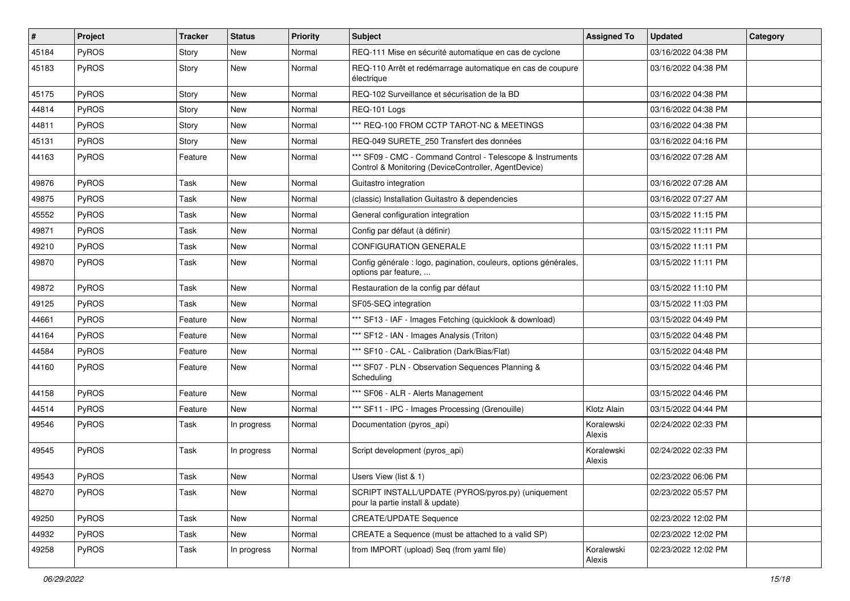| #     | Project      | <b>Tracker</b> | <b>Status</b> | <b>Priority</b> | Subject                                                                                                            | <b>Assigned To</b>   | <b>Updated</b>      | Category |
|-------|--------------|----------------|---------------|-----------------|--------------------------------------------------------------------------------------------------------------------|----------------------|---------------------|----------|
| 45184 | PyROS        | Story          | New           | Normal          | REQ-111 Mise en sécurité automatique en cas de cyclone                                                             |                      | 03/16/2022 04:38 PM |          |
| 45183 | PyROS        | Story          | New           | Normal          | REQ-110 Arrêt et redémarrage automatique en cas de coupure<br>électrique                                           |                      | 03/16/2022 04:38 PM |          |
| 45175 | PyROS        | Story          | New           | Normal          | REQ-102 Surveillance et sécurisation de la BD                                                                      |                      | 03/16/2022 04:38 PM |          |
| 44814 | PyROS        | Story          | New           | Normal          | REQ-101 Logs                                                                                                       |                      | 03/16/2022 04:38 PM |          |
| 44811 | <b>PyROS</b> | Story          | New           | Normal          | *** REQ-100 FROM CCTP TAROT-NC & MEETINGS                                                                          |                      | 03/16/2022 04:38 PM |          |
| 45131 | PyROS        | Story          | <b>New</b>    | Normal          | REQ-049 SURETE 250 Transfert des données                                                                           |                      | 03/16/2022 04:16 PM |          |
| 44163 | PyROS        | Feature        | New           | Normal          | *** SF09 - CMC - Command Control - Telescope & Instruments<br>Control & Monitoring (DeviceController, AgentDevice) |                      | 03/16/2022 07:28 AM |          |
| 49876 | PyROS        | Task           | <b>New</b>    | Normal          | Guitastro integration                                                                                              |                      | 03/16/2022 07:28 AM |          |
| 49875 | PyROS        | Task           | New           | Normal          | (classic) Installation Guitastro & dependencies                                                                    |                      | 03/16/2022 07:27 AM |          |
| 45552 | PyROS        | Task           | New           | Normal          | General configuration integration                                                                                  |                      | 03/15/2022 11:15 PM |          |
| 49871 | PyROS        | Task           | New           | Normal          | Config par défaut (à définir)                                                                                      |                      | 03/15/2022 11:11 PM |          |
| 49210 | PyROS        | Task           | <b>New</b>    | Normal          | CONFIGURATION GENERALE                                                                                             |                      | 03/15/2022 11:11 PM |          |
| 49870 | PyROS        | Task           | New           | Normal          | Config générale : logo, pagination, couleurs, options générales,<br>options par feature,                           |                      | 03/15/2022 11:11 PM |          |
| 49872 | PyROS        | Task           | New           | Normal          | Restauration de la config par défaut                                                                               |                      | 03/15/2022 11:10 PM |          |
| 49125 | PyROS        | Task           | <b>New</b>    | Normal          | SF05-SEQ integration                                                                                               |                      | 03/15/2022 11:03 PM |          |
| 44661 | PyROS        | Feature        | <b>New</b>    | Normal          | *** SF13 - IAF - Images Fetching (quicklook & download)                                                            |                      | 03/15/2022 04:49 PM |          |
| 44164 | PyROS        | Feature        | New           | Normal          | *** SF12 - IAN - Images Analysis (Triton)                                                                          |                      | 03/15/2022 04:48 PM |          |
| 44584 | PyROS        | Feature        | New           | Normal          | *** SF10 - CAL - Calibration (Dark/Bias/Flat)                                                                      |                      | 03/15/2022 04:48 PM |          |
| 44160 | PyROS        | Feature        | New           | Normal          | *** SF07 - PLN - Observation Sequences Planning &<br>Scheduling                                                    |                      | 03/15/2022 04:46 PM |          |
| 44158 | PyROS        | Feature        | New           | Normal          | *** SF06 - ALR - Alerts Management                                                                                 |                      | 03/15/2022 04:46 PM |          |
| 44514 | PyROS        | Feature        | <b>New</b>    | Normal          | *** SF11 - IPC - Images Processing (Grenouille)                                                                    | Klotz Alain          | 03/15/2022 04:44 PM |          |
| 49546 | PyROS        | Task           | In progress   | Normal          | Documentation (pyros_api)                                                                                          | Koralewski<br>Alexis | 02/24/2022 02:33 PM |          |
| 49545 | PyROS        | Task           | In progress   | Normal          | Script development (pyros_api)                                                                                     | Koralewski<br>Alexis | 02/24/2022 02:33 PM |          |
| 49543 | PyROS        | Task           | New           | Normal          | Users View (list & 1)                                                                                              |                      | 02/23/2022 06:06 PM |          |
| 48270 | PyROS        | Task           | New           | Normal          | SCRIPT INSTALL/UPDATE (PYROS/pyros.py) (uniquement<br>pour la partie install & update)                             |                      | 02/23/2022 05:57 PM |          |
| 49250 | PyROS        | Task           | New           | Normal          | <b>CREATE/UPDATE Sequence</b>                                                                                      |                      | 02/23/2022 12:02 PM |          |
| 44932 | PyROS        | Task           | New           | Normal          | CREATE a Sequence (must be attached to a valid SP)                                                                 |                      | 02/23/2022 12:02 PM |          |
| 49258 | PyROS        | Task           | In progress   | Normal          | from IMPORT (upload) Seq (from yaml file)                                                                          | Koralewski<br>Alexis | 02/23/2022 12:02 PM |          |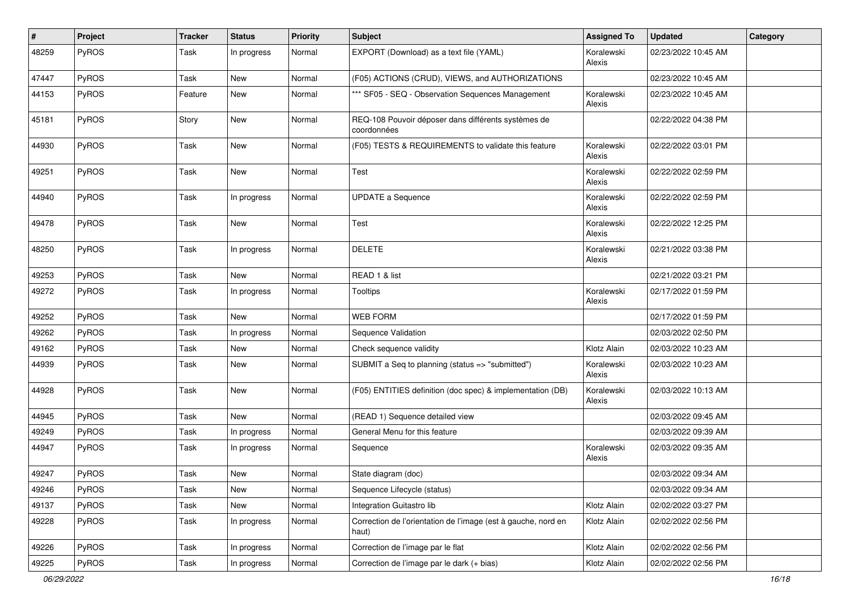| #     | Project      | <b>Tracker</b> | <b>Status</b> | <b>Priority</b> | <b>Subject</b>                                                         | <b>Assigned To</b>   | <b>Updated</b>      | Category |
|-------|--------------|----------------|---------------|-----------------|------------------------------------------------------------------------|----------------------|---------------------|----------|
| 48259 | PyROS        | Task           | In progress   | Normal          | EXPORT (Download) as a text file (YAML)                                | Koralewski<br>Alexis | 02/23/2022 10:45 AM |          |
| 47447 | PyROS        | Task           | <b>New</b>    | Normal          | (F05) ACTIONS (CRUD), VIEWS, and AUTHORIZATIONS                        |                      | 02/23/2022 10:45 AM |          |
| 44153 | PyROS        | Feature        | New           | Normal          | *** SF05 - SEQ - Observation Sequences Management                      | Koralewski<br>Alexis | 02/23/2022 10:45 AM |          |
| 45181 | PyROS        | Story          | New           | Normal          | REQ-108 Pouvoir déposer dans différents systèmes de<br>coordonnées     |                      | 02/22/2022 04:38 PM |          |
| 44930 | PyROS        | Task           | New           | Normal          | (F05) TESTS & REQUIREMENTS to validate this feature                    | Koralewski<br>Alexis | 02/22/2022 03:01 PM |          |
| 49251 | PyROS        | Task           | New           | Normal          | Test                                                                   | Koralewski<br>Alexis | 02/22/2022 02:59 PM |          |
| 44940 | PyROS        | Task           | In progress   | Normal          | <b>UPDATE a Sequence</b>                                               | Koralewski<br>Alexis | 02/22/2022 02:59 PM |          |
| 49478 | PyROS        | Task           | New           | Normal          | Test                                                                   | Koralewski<br>Alexis | 02/22/2022 12:25 PM |          |
| 48250 | PyROS        | Task           | In progress   | Normal          | <b>DELETE</b>                                                          | Koralewski<br>Alexis | 02/21/2022 03:38 PM |          |
| 49253 | PyROS        | Task           | <b>New</b>    | Normal          | READ 1 & list                                                          |                      | 02/21/2022 03:21 PM |          |
| 49272 | PyROS        | Task           | In progress   | Normal          | <b>Tooltips</b>                                                        | Koralewski<br>Alexis | 02/17/2022 01:59 PM |          |
| 49252 | PyROS        | Task           | <b>New</b>    | Normal          | <b>WEB FORM</b>                                                        |                      | 02/17/2022 01:59 PM |          |
| 49262 | PyROS        | Task           | In progress   | Normal          | Sequence Validation                                                    |                      | 02/03/2022 02:50 PM |          |
| 49162 | PyROS        | Task           | New           | Normal          | Check sequence validity                                                | Klotz Alain          | 02/03/2022 10:23 AM |          |
| 44939 | PyROS        | Task           | New           | Normal          | SUBMIT a Seq to planning (status => "submitted")                       | Koralewski<br>Alexis | 02/03/2022 10:23 AM |          |
| 44928 | PyROS        | Task           | New           | Normal          | (F05) ENTITIES definition (doc spec) & implementation (DB)             | Koralewski<br>Alexis | 02/03/2022 10:13 AM |          |
| 44945 | PyROS        | Task           | New           | Normal          | (READ 1) Sequence detailed view                                        |                      | 02/03/2022 09:45 AM |          |
| 49249 | PyROS        | Task           | In progress   | Normal          | General Menu for this feature                                          |                      | 02/03/2022 09:39 AM |          |
| 44947 | PyROS        | Task           | In progress   | Normal          | Sequence                                                               | Koralewski<br>Alexis | 02/03/2022 09:35 AM |          |
| 49247 | PyROS        | Task           | New           | Normal          | State diagram (doc)                                                    |                      | 02/03/2022 09:34 AM |          |
| 49246 | <b>PyROS</b> | Task           | New           | Normal          | Sequence Lifecycle (status)                                            |                      | 02/03/2022 09:34 AM |          |
| 49137 | PyROS        | Task           | New           | Normal          | Integration Guitastro lib                                              | Klotz Alain          | 02/02/2022 03:27 PM |          |
| 49228 | PyROS        | Task           | In progress   | Normal          | Correction de l'orientation de l'image (est à gauche, nord en<br>haut) | Klotz Alain          | 02/02/2022 02:56 PM |          |
| 49226 | PyROS        | Task           | In progress   | Normal          | Correction de l'image par le flat                                      | Klotz Alain          | 02/02/2022 02:56 PM |          |
| 49225 | PyROS        | Task           | In progress   | Normal          | Correction de l'image par le dark (+ bias)                             | Klotz Alain          | 02/02/2022 02:56 PM |          |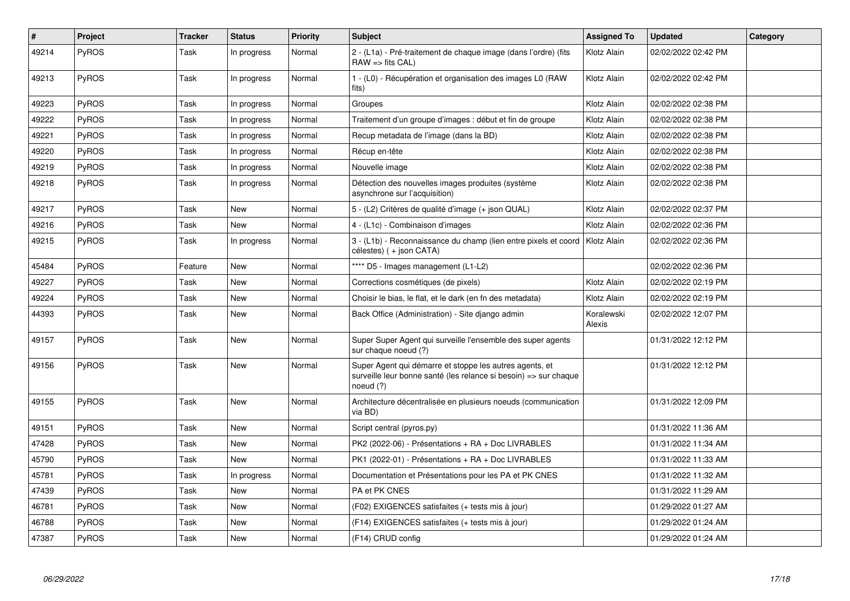| $\vert$ # | Project      | <b>Tracker</b> | <b>Status</b> | <b>Priority</b> | <b>Subject</b>                                                                                                                           | <b>Assigned To</b>   | <b>Updated</b>      | Category |
|-----------|--------------|----------------|---------------|-----------------|------------------------------------------------------------------------------------------------------------------------------------------|----------------------|---------------------|----------|
| 49214     | PyROS        | Task           | In progress   | Normal          | 2 - (L1a) - Pré-traitement de chaque image (dans l'ordre) (fits<br>$RAW \Rightarrow$ fits $CAL$ )                                        | Klotz Alain          | 02/02/2022 02:42 PM |          |
| 49213     | <b>PyROS</b> | Task           | In progress   | Normal          | 1 - (L0) - Récupération et organisation des images L0 (RAW<br>fits)                                                                      | Klotz Alain          | 02/02/2022 02:42 PM |          |
| 49223     | PyROS        | Task           | In progress   | Normal          | Groupes                                                                                                                                  | Klotz Alain          | 02/02/2022 02:38 PM |          |
| 49222     | <b>PyROS</b> | Task           | In progress   | Normal          | Traitement d'un groupe d'images : début et fin de groupe                                                                                 | Klotz Alain          | 02/02/2022 02:38 PM |          |
| 49221     | <b>PyROS</b> | Task           | In progress   | Normal          | Recup metadata de l'image (dans la BD)                                                                                                   | Klotz Alain          | 02/02/2022 02:38 PM |          |
| 49220     | PyROS        | Task           | In progress   | Normal          | Récup en-tête                                                                                                                            | Klotz Alain          | 02/02/2022 02:38 PM |          |
| 49219     | PyROS        | Task           | In progress   | Normal          | Nouvelle image                                                                                                                           | Klotz Alain          | 02/02/2022 02:38 PM |          |
| 49218     | PyROS        | Task           | In progress   | Normal          | Détection des nouvelles images produites (système<br>asynchrone sur l'acquisition)                                                       | Klotz Alain          | 02/02/2022 02:38 PM |          |
| 49217     | PyROS        | Task           | New           | Normal          | 5 - (L2) Critères de qualité d'image (+ json QUAL)                                                                                       | Klotz Alain          | 02/02/2022 02:37 PM |          |
| 49216     | <b>PyROS</b> | Task           | <b>New</b>    | Normal          | 4 - (L1c) - Combinaison d'images                                                                                                         | Klotz Alain          | 02/02/2022 02:36 PM |          |
| 49215     | PyROS        | Task           | In progress   | Normal          | 3 - (L1b) - Reconnaissance du champ (lien entre pixels et coord<br>célestes) (+ json CATA)                                               | Klotz Alain          | 02/02/2022 02:36 PM |          |
| 45484     | PyROS        | Feature        | <b>New</b>    | Normal          | **** D5 - Images management (L1-L2)                                                                                                      |                      | 02/02/2022 02:36 PM |          |
| 49227     | PyROS        | Task           | <b>New</b>    | Normal          | Corrections cosmétiques (de pixels)                                                                                                      | Klotz Alain          | 02/02/2022 02:19 PM |          |
| 49224     | PyROS        | Task           | <b>New</b>    | Normal          | Choisir le bias, le flat, et le dark (en fn des metadata)                                                                                | Klotz Alain          | 02/02/2022 02:19 PM |          |
| 44393     | <b>PyROS</b> | Task           | New           | Normal          | Back Office (Administration) - Site diango admin                                                                                         | Koralewski<br>Alexis | 02/02/2022 12:07 PM |          |
| 49157     | PyROS        | Task           | <b>New</b>    | Normal          | Super Super Agent qui surveille l'ensemble des super agents<br>sur chaque noeud (?)                                                      |                      | 01/31/2022 12:12 PM |          |
| 49156     | PyROS        | Task           | <b>New</b>    | Normal          | Super Agent qui démarre et stoppe les autres agents, et<br>surveille leur bonne santé (les relance si besoin) => sur chaque<br>noeud (?) |                      | 01/31/2022 12:12 PM |          |
| 49155     | PyROS        | Task           | New           | Normal          | Architecture décentralisée en plusieurs noeuds (communication<br>via BD)                                                                 |                      | 01/31/2022 12:09 PM |          |
| 49151     | PyROS        | Task           | <b>New</b>    | Normal          | Script central (pyros.py)                                                                                                                |                      | 01/31/2022 11:36 AM |          |
| 47428     | <b>PyROS</b> | Task           | New           | Normal          | PK2 (2022-06) - Présentations + RA + Doc LIVRABLES                                                                                       |                      | 01/31/2022 11:34 AM |          |
| 45790     | PyROS        | Task           | <b>New</b>    | Normal          | PK1 (2022-01) - Présentations + RA + Doc LIVRABLES                                                                                       |                      | 01/31/2022 11:33 AM |          |
| 45781     | <b>PyROS</b> | Task           | In progress   | Normal          | Documentation et Présentations pour les PA et PK CNES                                                                                    |                      | 01/31/2022 11:32 AM |          |
| 47439     | PyROS        | Task           | <b>New</b>    | Normal          | PA et PK CNES                                                                                                                            |                      | 01/31/2022 11:29 AM |          |
| 46781     | <b>PyROS</b> | Task           | <b>New</b>    | Normal          | (F02) EXIGENCES satisfaites (+ tests mis à jour)                                                                                         |                      | 01/29/2022 01:27 AM |          |
| 46788     | PyROS        | Task           | <b>New</b>    | Normal          | (F14) EXIGENCES satisfaites (+ tests mis à jour)                                                                                         |                      | 01/29/2022 01:24 AM |          |
| 47387     | <b>PyROS</b> | Task           | <b>New</b>    | Normal          | (F14) CRUD config                                                                                                                        |                      | 01/29/2022 01:24 AM |          |